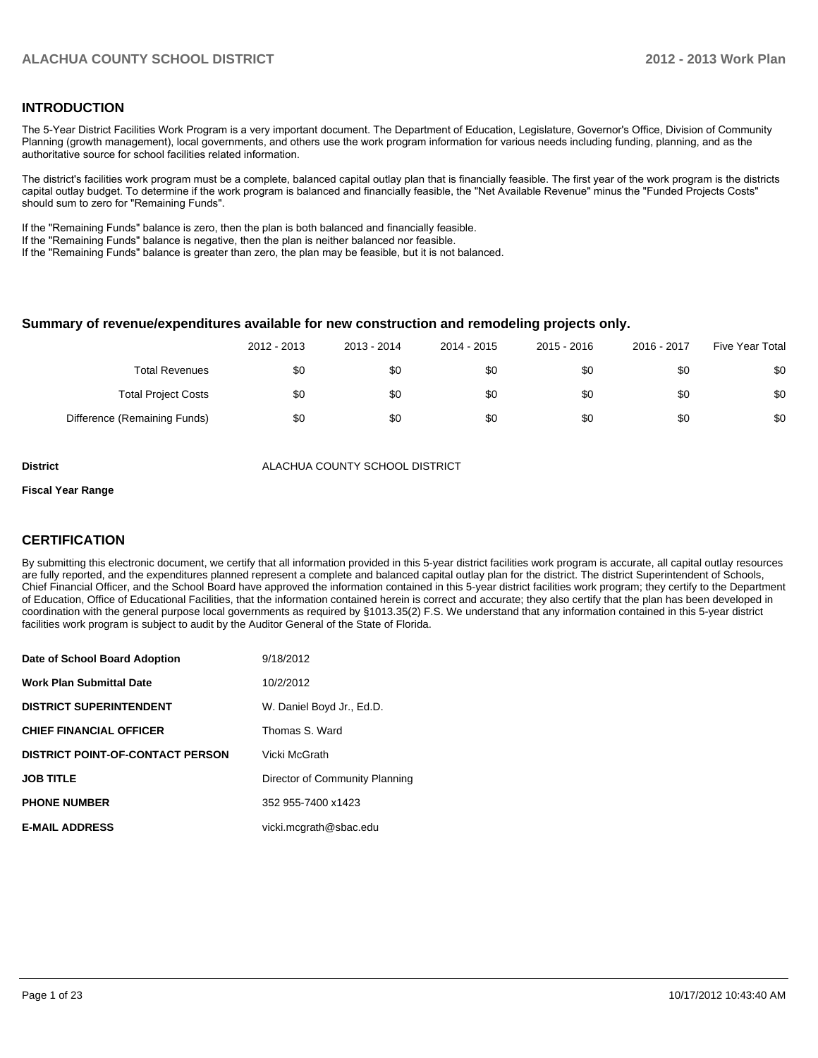### **INTRODUCTION**

The 5-Year District Facilities Work Program is a very important document. The Department of Education, Legislature, Governor's Office, Division of Community Planning (growth management), local governments, and others use the work program information for various needs including funding, planning, and as the authoritative source for school facilities related information.

The district's facilities work program must be a complete, balanced capital outlay plan that is financially feasible. The first year of the work program is the districts capital outlay budget. To determine if the work program is balanced and financially feasible, the "Net Available Revenue" minus the "Funded Projects Costs" should sum to zero for "Remaining Funds".

If the "Remaining Funds" balance is zero, then the plan is both balanced and financially feasible.

If the "Remaining Funds" balance is negative, then the plan is neither balanced nor feasible.

If the "Remaining Funds" balance is greater than zero, the plan may be feasible, but it is not balanced.

#### **Summary of revenue/expenditures available for new construction and remodeling projects only.**

|                              | 2012 - 2013 | 2013 - 2014 | 2014 - 2015 | 2015 - 2016 | 2016 - 2017 | Five Year Total |
|------------------------------|-------------|-------------|-------------|-------------|-------------|-----------------|
| <b>Total Revenues</b>        | \$0         | \$0         | \$0         | \$0         | \$0         | \$0             |
| <b>Total Project Costs</b>   | \$0         | \$0         | \$0         | \$0         | \$0         | \$0             |
| Difference (Remaining Funds) | \$0         | \$0         | \$0         | \$0         | \$0         | \$0             |

**District** ALACHUA COUNTY SCHOOL DISTRICT

#### **Fiscal Year Range**

### **CERTIFICATION**

By submitting this electronic document, we certify that all information provided in this 5-year district facilities work program is accurate, all capital outlay resources are fully reported, and the expenditures planned represent a complete and balanced capital outlay plan for the district. The district Superintendent of Schools, Chief Financial Officer, and the School Board have approved the information contained in this 5-year district facilities work program; they certify to the Department of Education, Office of Educational Facilities, that the information contained herein is correct and accurate; they also certify that the plan has been developed in coordination with the general purpose local governments as required by §1013.35(2) F.S. We understand that any information contained in this 5-year district facilities work program is subject to audit by the Auditor General of the State of Florida.

| Date of School Board Adoption           | 9/18/2012                      |
|-----------------------------------------|--------------------------------|
| <b>Work Plan Submittal Date</b>         | 10/2/2012                      |
| <b>DISTRICT SUPERINTENDENT</b>          | W. Daniel Boyd Jr., Ed.D.      |
| <b>CHIEF FINANCIAL OFFICER</b>          | Thomas S. Ward                 |
| <b>DISTRICT POINT-OF-CONTACT PERSON</b> | Vicki McGrath                  |
| <b>JOB TITLE</b>                        | Director of Community Planning |
| <b>PHONE NUMBER</b>                     | 352 955-7400 x1423             |
| <b>E-MAIL ADDRESS</b>                   | vicki.mcgrath@sbac.edu         |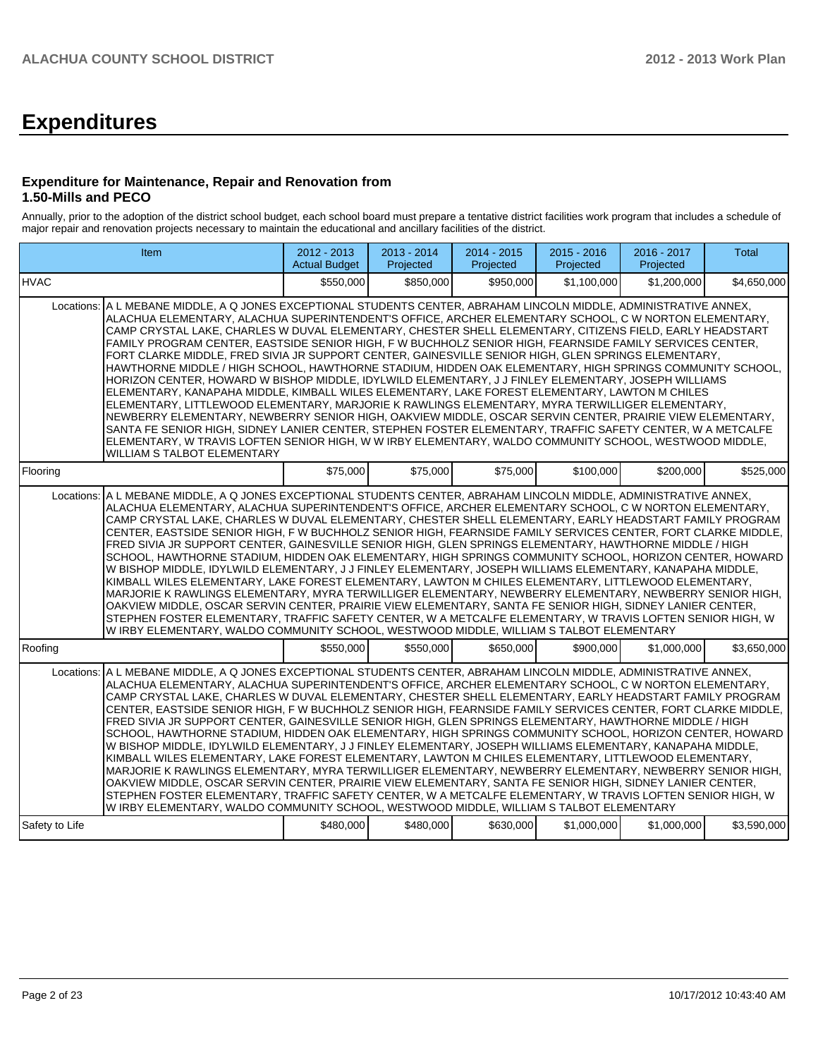# **Expenditures**

### **Expenditure for Maintenance, Repair and Renovation from 1.50-Mills and PECO**

Annually, prior to the adoption of the district school budget, each school board must prepare a tentative district facilities work program that includes a schedule of major repair and renovation projects necessary to maintain the educational and ancillary facilities of the district.

|                | Item                                                                                                                                                                                                                                                                                                                                                                                                                                                                                                                                                                                                                                                                                                                                                                                                                                                                                                                                                                                                                                                                                                                                                                                                                                                                                                                                                     | 2012 - 2013<br><b>Actual Budget</b> | 2013 - 2014<br>Projected | 2014 - 2015<br>Projected | $2015 - 2016$<br>Projected | 2016 - 2017<br>Projected | Total       |  |  |  |
|----------------|----------------------------------------------------------------------------------------------------------------------------------------------------------------------------------------------------------------------------------------------------------------------------------------------------------------------------------------------------------------------------------------------------------------------------------------------------------------------------------------------------------------------------------------------------------------------------------------------------------------------------------------------------------------------------------------------------------------------------------------------------------------------------------------------------------------------------------------------------------------------------------------------------------------------------------------------------------------------------------------------------------------------------------------------------------------------------------------------------------------------------------------------------------------------------------------------------------------------------------------------------------------------------------------------------------------------------------------------------------|-------------------------------------|--------------------------|--------------------------|----------------------------|--------------------------|-------------|--|--|--|
| <b>HVAC</b>    |                                                                                                                                                                                                                                                                                                                                                                                                                                                                                                                                                                                                                                                                                                                                                                                                                                                                                                                                                                                                                                                                                                                                                                                                                                                                                                                                                          | \$550.000                           | \$850.000                | \$950.000                | \$1.100.000                | \$1,200,000              | \$4.650.000 |  |  |  |
|                | A L MEBANE MIDDLE, A Q JONES EXCEPTIONAL STUDENTS CENTER, ABRAHAM LINCOLN MIDDLE, ADMINISTRATIVE ANNEX,<br>Locations:<br>ALACHUA ELEMENTARY, ALACHUA SUPERINTENDENT'S OFFICE, ARCHER ELEMENTARY SCHOOL, C W NORTON ELEMENTARY,<br>CAMP CRYSTAL LAKE, CHARLES W DUVAL ELEMENTARY, CHESTER SHELL ELEMENTARY, CITIZENS FIELD, EARLY HEADSTART<br>FAMILY PROGRAM CENTER, EASTSIDE SENIOR HIGH, F W BUCHHOLZ SENIOR HIGH, FEARNSIDE FAMILY SERVICES CENTER,<br>FORT CLARKE MIDDLE, FRED SIVIA JR SUPPORT CENTER, GAINESVILLE SENIOR HIGH, GLEN SPRINGS ELEMENTARY,<br>HAWTHORNE MIDDLE / HIGH SCHOOL, HAWTHORNE STADIUM, HIDDEN OAK ELEMENTARY, HIGH SPRINGS COMMUNITY SCHOOL,<br>HORIZON CENTER, HOWARD W BISHOP MIDDLE, IDYLWILD ELEMENTARY, J J FINLEY ELEMENTARY, JOSEPH WILLIAMS<br>ELEMENTARY, KANAPAHA MIDDLE, KIMBALL WILES ELEMENTARY, LAKE FOREST ELEMENTARY, LAWTON M CHILES<br>ELEMENTARY, LITTLEWOOD ELEMENTARY, MARJORIE K RAWLINGS ELEMENTARY, MYRA TERWILLIGER ELEMENTARY,<br>NEWBERRY ELEMENTARY, NEWBERRY SENIOR HIGH, OAKVIEW MIDDLE, OSCAR SERVIN CENTER, PRAIRIE VIEW ELEMENTARY,<br>SANTA FE SENIOR HIGH, SIDNEY LANIER CENTER, STEPHEN FOSTER ELEMENTARY, TRAFFIC SAFETY CENTER, W A METCALFE<br>ELEMENTARY, W TRAVIS LOFTEN SENIOR HIGH, W W IRBY ELEMENTARY, WALDO COMMUNITY SCHOOL, WESTWOOD MIDDLE,<br>WILLIAM S TALBOT ELEMENTARY |                                     |                          |                          |                            |                          |             |  |  |  |
| Flooring       |                                                                                                                                                                                                                                                                                                                                                                                                                                                                                                                                                                                                                                                                                                                                                                                                                                                                                                                                                                                                                                                                                                                                                                                                                                                                                                                                                          | \$75,000                            | \$75,000                 | \$75,000                 | \$100,000                  | \$200,000                | \$525,000   |  |  |  |
| Locations:     | A L MEBANE MIDDLE, A Q JONES EXCEPTIONAL STUDENTS CENTER, ABRAHAM LINCOLN MIDDLE, ADMINISTRATIVE ANNEX,<br>ALACHUA ELEMENTARY, ALACHUA SUPERINTENDENT'S OFFICE, ARCHER ELEMENTARY SCHOOL, C W NORTON ELEMENTARY,<br>CAMP CRYSTAL LAKE, CHARLES W DUVAL ELEMENTARY, CHESTER SHELL ELEMENTARY, EARLY HEADSTART FAMILY PROGRAM<br>CENTER, EASTSIDE SENIOR HIGH, FW BUCHHOLZ SENIOR HIGH, FEARNSIDE FAMILY SERVICES CENTER, FORT CLARKE MIDDLE,<br>FRED SIVIA JR SUPPORT CENTER, GAINESVILLE SENIOR HIGH, GLEN SPRINGS ELEMENTARY, HAWTHORNE MIDDLE / HIGH<br>SCHOOL, HAWTHORNE STADIUM, HIDDEN OAK ELEMENTARY, HIGH SPRINGS COMMUNITY SCHOOL, HORIZON CENTER, HOWARD<br>W BISHOP MIDDLE, IDYLWILD ELEMENTARY, J J FINLEY ELEMENTARY, JOSEPH WILLIAMS ELEMENTARY, KANAPAHA MIDDLE,<br>KIMBALL WILES ELEMENTARY, LAKE FOREST ELEMENTARY, LAWTON M CHILES ELEMENTARY, LITTLEWOOD ELEMENTARY,<br>MARJORIE K RAWLINGS ELEMENTARY, MYRA TERWILLIGER ELEMENTARY, NEWBERRY ELEMENTARY, NEWBERRY SENIOR HIGH,<br>OAKVIEW MIDDLE, OSCAR SERVIN CENTER, PRAIRIE VIEW ELEMENTARY, SANTA FE SENIOR HIGH, SIDNEY LANIER CENTER,<br>STEPHEN FOSTER ELEMENTARY, TRAFFIC SAFETY CENTER, W A METCALFE ELEMENTARY, W TRAVIS LOFTEN SENIOR HIGH, W<br>W IRBY ELEMENTARY, WALDO COMMUNITY SCHOOL, WESTWOOD MIDDLE, WILLIAM S TALBOT ELEMENTARY                                   |                                     |                          |                          |                            |                          |             |  |  |  |
| Roofina        |                                                                                                                                                                                                                                                                                                                                                                                                                                                                                                                                                                                                                                                                                                                                                                                                                                                                                                                                                                                                                                                                                                                                                                                                                                                                                                                                                          | \$550.000                           | \$550,000                | \$650,000                | \$900,000                  | \$1,000,000              | \$3.650.000 |  |  |  |
| Locations:     | A L MEBANE MIDDLE, A Q JONES EXCEPTIONAL STUDENTS CENTER, ABRAHAM LINCOLN MIDDLE, ADMINISTRATIVE ANNEX,<br>ALACHUA ELEMENTARY, ALACHUA SUPERINTENDENT'S OFFICE, ARCHER ELEMENTARY SCHOOL, C W NORTON ELEMENTARY,<br>CAMP CRYSTAL LAKE, CHARLES W DUVAL ELEMENTARY, CHESTER SHELL ELEMENTARY, EARLY HEADSTART FAMILY PROGRAM<br>CENTER, EASTSIDE SENIOR HIGH, F W BUCHHOLZ SENIOR HIGH, FEARNSIDE FAMILY SERVICES CENTER, FORT CLARKE MIDDLE,<br>FRED SIVIA JR SUPPORT CENTER. GAINESVILLE SENIOR HIGH, GLEN SPRINGS ELEMENTARY, HAWTHORNE MIDDLE / HIGH<br>SCHOOL, HAWTHORNE STADIUM, HIDDEN OAK ELEMENTARY, HIGH SPRINGS COMMUNITY SCHOOL, HORIZON CENTER, HOWARD<br>W BISHOP MIDDLE, IDYLWILD ELEMENTARY, J J FINLEY ELEMENTARY, JOSEPH WILLIAMS ELEMENTARY, KANAPAHA MIDDLE,<br>KIMBALL WILES ELEMENTARY, LAKE FOREST ELEMENTARY, LAWTON M CHILES ELEMENTARY, LITTLEWOOD ELEMENTARY,<br>MARJORIE K RAWLINGS ELEMENTARY, MYRA TERWILLIGER ELEMENTARY, NEWBERRY ELEMENTARY, NEWBERRY SENIOR HIGH,<br>OAKVIEW MIDDLE, OSCAR SERVIN CENTER, PRAIRIE VIEW ELEMENTARY, SANTA FE SENIOR HIGH, SIDNEY LANIER CENTER,<br>STEPHEN FOSTER ELEMENTARY, TRAFFIC SAFETY CENTER, W A METCALFE ELEMENTARY, W TRAVIS LOFTEN SENIOR HIGH, W<br>W IRBY ELEMENTARY, WALDO COMMUNITY SCHOOL, WESTWOOD MIDDLE, WILLIAM S TALBOT ELEMENTARY                                  |                                     |                          |                          |                            |                          |             |  |  |  |
| Safety to Life |                                                                                                                                                                                                                                                                                                                                                                                                                                                                                                                                                                                                                                                                                                                                                                                                                                                                                                                                                                                                                                                                                                                                                                                                                                                                                                                                                          | \$480,000                           | \$480,000                | \$630,000                | \$1,000,000                | \$1,000,000              | \$3,590,000 |  |  |  |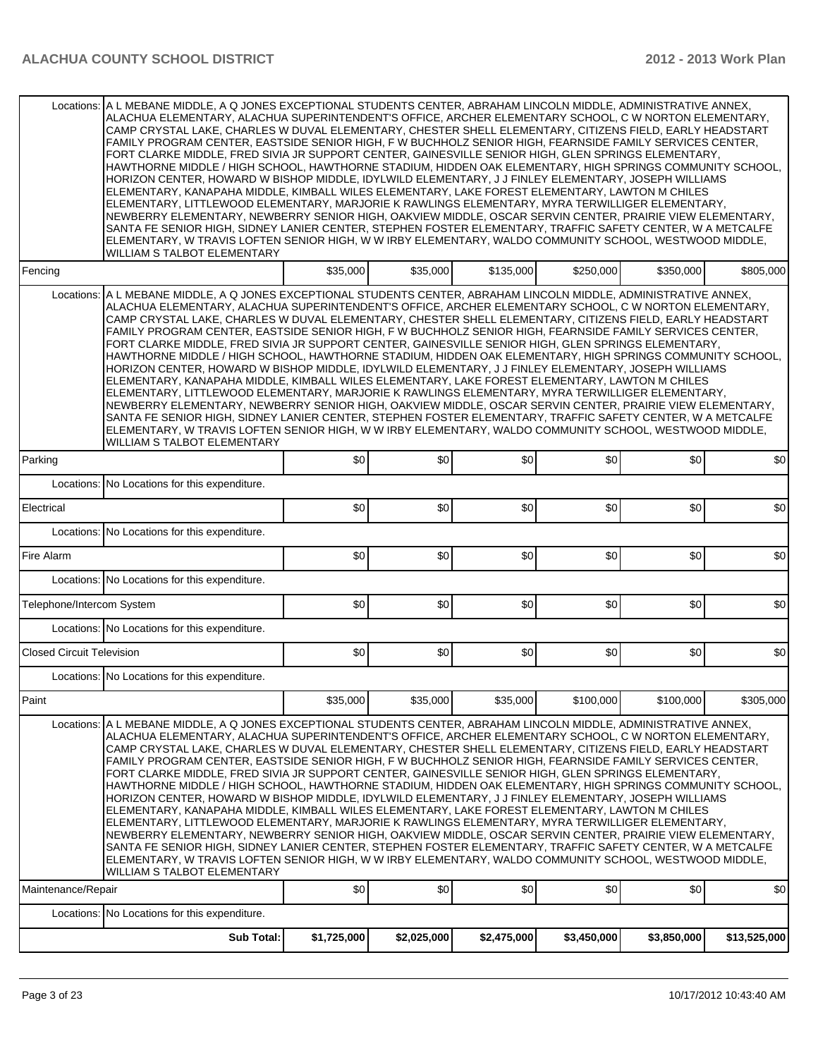| Locations:                                                                                                                                                                                                                                                                                                                                                                                                                                                                                                                                                                                                                                                                                                                                                                                                                                                                                                                                                                                                                                                                                                                                                                                                                                                                                                                                            | A L MEBANE MIDDLE, A Q JONES EXCEPTIONAL STUDENTS CENTER, ABRAHAM LINCOLN MIDDLE, ADMINISTRATIVE ANNEX,<br>ALACHUA ELEMENTARY, ALACHUA SUPERINTENDENT'S OFFICE, ARCHER ELEMENTARY SCHOOL, C W NORTON ELEMENTARY,<br>CAMP CRYSTAL LAKE, CHARLES W DUVAL ELEMENTARY, CHESTER SHELL ELEMENTARY, CITIZENS FIELD, EARLY HEADSTART<br>FAMILY PROGRAM CENTER, EASTSIDE SENIOR HIGH, F W BUCHHOLZ SENIOR HIGH, FEARNSIDE FAMILY SERVICES CENTER,<br>FORT CLARKE MIDDLE, FRED SIVIA JR SUPPORT CENTER, GAINESVILLE SENIOR HIGH, GLEN SPRINGS ELEMENTARY,<br>HAWTHORNE MIDDLE / HIGH SCHOOL, HAWTHORNE STADIUM, HIDDEN OAK ELEMENTARY, HIGH SPRINGS COMMUNITY SCHOOL,<br>HORIZON CENTER, HOWARD W BISHOP MIDDLE, IDYLWILD ELEMENTARY, J J FINLEY ELEMENTARY, JOSEPH WILLIAMS<br>ELEMENTARY, KANAPAHA MIDDLE, KIMBALL WILES ELEMENTARY, LAKE FOREST ELEMENTARY, LAWTON M CHILES<br>ELEMENTARY, LITTLEWOOD ELEMENTARY, MARJORIE K RAWLINGS ELEMENTARY, MYRA TERWILLIGER ELEMENTARY,<br>NEWBERRY ELEMENTARY, NEWBERRY SENIOR HIGH, OAKVIEW MIDDLE, OSCAR SERVIN CENTER, PRAIRIE VIEW ELEMENTARY,<br>SANTA FE SENIOR HIGH, SIDNEY LANIER CENTER, STEPHEN FOSTER ELEMENTARY, TRAFFIC SAFETY CENTER, W A METCALFE<br>ELEMENTARY, W TRAVIS LOFTEN SENIOR HIGH, W W IRBY ELEMENTARY, WALDO COMMUNITY SCHOOL, WESTWOOD MIDDLE,<br>WILLIAM S TALBOT ELEMENTARY |             |             |             |             |             |              |  |  |  |  |  |
|-------------------------------------------------------------------------------------------------------------------------------------------------------------------------------------------------------------------------------------------------------------------------------------------------------------------------------------------------------------------------------------------------------------------------------------------------------------------------------------------------------------------------------------------------------------------------------------------------------------------------------------------------------------------------------------------------------------------------------------------------------------------------------------------------------------------------------------------------------------------------------------------------------------------------------------------------------------------------------------------------------------------------------------------------------------------------------------------------------------------------------------------------------------------------------------------------------------------------------------------------------------------------------------------------------------------------------------------------------|--------------------------------------------------------------------------------------------------------------------------------------------------------------------------------------------------------------------------------------------------------------------------------------------------------------------------------------------------------------------------------------------------------------------------------------------------------------------------------------------------------------------------------------------------------------------------------------------------------------------------------------------------------------------------------------------------------------------------------------------------------------------------------------------------------------------------------------------------------------------------------------------------------------------------------------------------------------------------------------------------------------------------------------------------------------------------------------------------------------------------------------------------------------------------------------------------------------------------------------------------------------------------------------------------------------------------------------------|-------------|-------------|-------------|-------------|-------------|--------------|--|--|--|--|--|
| Fencing                                                                                                                                                                                                                                                                                                                                                                                                                                                                                                                                                                                                                                                                                                                                                                                                                                                                                                                                                                                                                                                                                                                                                                                                                                                                                                                                               |                                                                                                                                                                                                                                                                                                                                                                                                                                                                                                                                                                                                                                                                                                                                                                                                                                                                                                                                                                                                                                                                                                                                                                                                                                                                                                                                            | \$35,000    | \$35,000    | \$135,000   | \$250,000   | \$350,000   | \$805,000    |  |  |  |  |  |
| Locations:                                                                                                                                                                                                                                                                                                                                                                                                                                                                                                                                                                                                                                                                                                                                                                                                                                                                                                                                                                                                                                                                                                                                                                                                                                                                                                                                            | A L MEBANE MIDDLE, A Q JONES EXCEPTIONAL STUDENTS CENTER, ABRAHAM LINCOLN MIDDLE, ADMINISTRATIVE ANNEX,<br>ALACHUA ELEMENTARY, ALACHUA SUPERINTENDENT'S OFFICE, ARCHER ELEMENTARY SCHOOL, C W NORTON ELEMENTARY,<br>CAMP CRYSTAL LAKE, CHARLES W DUVAL ELEMENTARY, CHESTER SHELL ELEMENTARY, CITIZENS FIELD, EARLY HEADSTART<br>FAMILY PROGRAM CENTER, EASTSIDE SENIOR HIGH, F W BUCHHOLZ SENIOR HIGH, FEARNSIDE FAMILY SERVICES CENTER,<br>FORT CLARKE MIDDLE, FRED SIVIA JR SUPPORT CENTER, GAINESVILLE SENIOR HIGH, GLEN SPRINGS ELEMENTARY,<br>HAWTHORNE MIDDLE / HIGH SCHOOL, HAWTHORNE STADIUM, HIDDEN OAK ELEMENTARY, HIGH SPRINGS COMMUNITY SCHOOL,<br>HORIZON CENTER. HOWARD W BISHOP MIDDLE. IDYLWILD ELEMENTARY. J J FINLEY ELEMENTARY. JOSEPH WILLIAMS<br>ELEMENTARY, KANAPAHA MIDDLE, KIMBALL WILES ELEMENTARY, LAKE FOREST ELEMENTARY, LAWTON M CHILES<br>ELEMENTARY, LITTLEWOOD ELEMENTARY, MARJORIE K RAWLINGS ELEMENTARY, MYRA TERWILLIGER ELEMENTARY,<br>NEWBERRY ELEMENTARY, NEWBERRY SENIOR HIGH, OAKVIEW MIDDLE, OSCAR SERVIN CENTER, PRAIRIE VIEW ELEMENTARY,<br>SANTA FE SENIOR HIGH, SIDNEY LANIER CENTER, STEPHEN FOSTER ELEMENTARY, TRAFFIC SAFETY CENTER, W A METCALFE<br>ELEMENTARY, W TRAVIS LOFTEN SENIOR HIGH, W W IRBY ELEMENTARY, WALDO COMMUNITY SCHOOL, WESTWOOD MIDDLE,<br>WILLIAM S TALBOT ELEMENTARY |             |             |             |             |             |              |  |  |  |  |  |
| Parking                                                                                                                                                                                                                                                                                                                                                                                                                                                                                                                                                                                                                                                                                                                                                                                                                                                                                                                                                                                                                                                                                                                                                                                                                                                                                                                                               |                                                                                                                                                                                                                                                                                                                                                                                                                                                                                                                                                                                                                                                                                                                                                                                                                                                                                                                                                                                                                                                                                                                                                                                                                                                                                                                                            | \$0         | \$0         | \$0         | \$0         | \$0         | \$0          |  |  |  |  |  |
|                                                                                                                                                                                                                                                                                                                                                                                                                                                                                                                                                                                                                                                                                                                                                                                                                                                                                                                                                                                                                                                                                                                                                                                                                                                                                                                                                       | Locations: No Locations for this expenditure.                                                                                                                                                                                                                                                                                                                                                                                                                                                                                                                                                                                                                                                                                                                                                                                                                                                                                                                                                                                                                                                                                                                                                                                                                                                                                              |             |             |             |             |             |              |  |  |  |  |  |
| Electrical                                                                                                                                                                                                                                                                                                                                                                                                                                                                                                                                                                                                                                                                                                                                                                                                                                                                                                                                                                                                                                                                                                                                                                                                                                                                                                                                            |                                                                                                                                                                                                                                                                                                                                                                                                                                                                                                                                                                                                                                                                                                                                                                                                                                                                                                                                                                                                                                                                                                                                                                                                                                                                                                                                            | \$0         | \$0         | \$0         | \$0         | \$0         | \$0          |  |  |  |  |  |
|                                                                                                                                                                                                                                                                                                                                                                                                                                                                                                                                                                                                                                                                                                                                                                                                                                                                                                                                                                                                                                                                                                                                                                                                                                                                                                                                                       | Locations: No Locations for this expenditure.                                                                                                                                                                                                                                                                                                                                                                                                                                                                                                                                                                                                                                                                                                                                                                                                                                                                                                                                                                                                                                                                                                                                                                                                                                                                                              |             |             |             |             |             |              |  |  |  |  |  |
| Fire Alarm                                                                                                                                                                                                                                                                                                                                                                                                                                                                                                                                                                                                                                                                                                                                                                                                                                                                                                                                                                                                                                                                                                                                                                                                                                                                                                                                            |                                                                                                                                                                                                                                                                                                                                                                                                                                                                                                                                                                                                                                                                                                                                                                                                                                                                                                                                                                                                                                                                                                                                                                                                                                                                                                                                            | \$0         | \$0         | \$0         | \$0         | \$0         | \$0          |  |  |  |  |  |
|                                                                                                                                                                                                                                                                                                                                                                                                                                                                                                                                                                                                                                                                                                                                                                                                                                                                                                                                                                                                                                                                                                                                                                                                                                                                                                                                                       | Locations: No Locations for this expenditure.                                                                                                                                                                                                                                                                                                                                                                                                                                                                                                                                                                                                                                                                                                                                                                                                                                                                                                                                                                                                                                                                                                                                                                                                                                                                                              |             |             |             |             |             |              |  |  |  |  |  |
| Telephone/Intercom System                                                                                                                                                                                                                                                                                                                                                                                                                                                                                                                                                                                                                                                                                                                                                                                                                                                                                                                                                                                                                                                                                                                                                                                                                                                                                                                             |                                                                                                                                                                                                                                                                                                                                                                                                                                                                                                                                                                                                                                                                                                                                                                                                                                                                                                                                                                                                                                                                                                                                                                                                                                                                                                                                            | \$0         | \$0         | \$0         | \$0         | \$0         | \$0          |  |  |  |  |  |
|                                                                                                                                                                                                                                                                                                                                                                                                                                                                                                                                                                                                                                                                                                                                                                                                                                                                                                                                                                                                                                                                                                                                                                                                                                                                                                                                                       | Locations: No Locations for this expenditure.                                                                                                                                                                                                                                                                                                                                                                                                                                                                                                                                                                                                                                                                                                                                                                                                                                                                                                                                                                                                                                                                                                                                                                                                                                                                                              |             |             |             |             |             |              |  |  |  |  |  |
| <b>Closed Circuit Television</b>                                                                                                                                                                                                                                                                                                                                                                                                                                                                                                                                                                                                                                                                                                                                                                                                                                                                                                                                                                                                                                                                                                                                                                                                                                                                                                                      |                                                                                                                                                                                                                                                                                                                                                                                                                                                                                                                                                                                                                                                                                                                                                                                                                                                                                                                                                                                                                                                                                                                                                                                                                                                                                                                                            | \$0         | \$0         | \$0         | \$0         | \$0         | \$0          |  |  |  |  |  |
|                                                                                                                                                                                                                                                                                                                                                                                                                                                                                                                                                                                                                                                                                                                                                                                                                                                                                                                                                                                                                                                                                                                                                                                                                                                                                                                                                       | Locations: No Locations for this expenditure.                                                                                                                                                                                                                                                                                                                                                                                                                                                                                                                                                                                                                                                                                                                                                                                                                                                                                                                                                                                                                                                                                                                                                                                                                                                                                              |             |             |             |             |             |              |  |  |  |  |  |
| Paint                                                                                                                                                                                                                                                                                                                                                                                                                                                                                                                                                                                                                                                                                                                                                                                                                                                                                                                                                                                                                                                                                                                                                                                                                                                                                                                                                 |                                                                                                                                                                                                                                                                                                                                                                                                                                                                                                                                                                                                                                                                                                                                                                                                                                                                                                                                                                                                                                                                                                                                                                                                                                                                                                                                            | \$35,000    | \$35,000    | \$35,000    | \$100,000   | \$100,000   | \$305,000    |  |  |  |  |  |
| Locations: A L MEBANE MIDDLE, A Q JONES EXCEPTIONAL STUDENTS CENTER, ABRAHAM LINCOLN MIDDLE, ADMINISTRATIVE ANNEX,<br>ALACHUA ELEMENTARY, ALACHUA SUPERINTENDENT'S OFFICE, ARCHER ELEMENTARY SCHOOL, C W NORTON ELEMENTARY,<br>CAMP CRYSTAL LAKE, CHARLES W DUVAL ELEMENTARY, CHESTER SHELL ELEMENTARY, CITIZENS FIELD, EARLY HEADSTART<br>FAMILY PROGRAM CENTER, EASTSIDE SENIOR HIGH, F W BUCHHOLZ SENIOR HIGH, FEARNSIDE FAMILY SERVICES CENTER,<br>FORT CLARKE MIDDLE, FRED SIVIA JR SUPPORT CENTER, GAINESVILLE SENIOR HIGH, GLEN SPRINGS ELEMENTARY,<br>HAWTHORNE MIDDLE / HIGH SCHOOL, HAWTHORNE STADIUM, HIDDEN OAK ELEMENTARY, HIGH SPRINGS COMMUNITY SCHOOL,<br>HORIZON CENTER, HOWARD W BISHOP MIDDLE, IDYLWILD ELEMENTARY, J J FINLEY ELEMENTARY, JOSEPH WILLIAMS<br>ELEMENTARY, KANAPAHA MIDDLE, KIMBALL WILES ELEMENTARY, LAKE FOREST ELEMENTARY, LAWTON M CHILES<br>ELEMENTARY, LITTLEWOOD ELEMENTARY, MARJORIE K RAWLINGS ELEMENTARY, MYRA TERWILLIGER ELEMENTARY,<br>NEWBERRY ELEMENTARY, NEWBERRY SENIOR HIGH, OAKVIEW MIDDLE, OSCAR SERVIN CENTER, PRAIRIE VIEW ELEMENTARY,<br>SANTA FE SENIOR HIGH, SIDNEY LANIER CENTER, STEPHEN FOSTER ELEMENTARY, TRAFFIC SAFETY CENTER, W A METCALFE<br>ELEMENTARY, W TRAVIS LOFTEN SENIOR HIGH, W W IRBY ELEMENTARY, WALDO COMMUNITY SCHOOL, WESTWOOD MIDDLE,<br>WILLIAM S TALBOT ELEMENTARY |                                                                                                                                                                                                                                                                                                                                                                                                                                                                                                                                                                                                                                                                                                                                                                                                                                                                                                                                                                                                                                                                                                                                                                                                                                                                                                                                            |             |             |             |             |             |              |  |  |  |  |  |
| Maintenance/Repair                                                                                                                                                                                                                                                                                                                                                                                                                                                                                                                                                                                                                                                                                                                                                                                                                                                                                                                                                                                                                                                                                                                                                                                                                                                                                                                                    |                                                                                                                                                                                                                                                                                                                                                                                                                                                                                                                                                                                                                                                                                                                                                                                                                                                                                                                                                                                                                                                                                                                                                                                                                                                                                                                                            | \$0         | \$0         | \$0         | \$0         | \$0         | \$0          |  |  |  |  |  |
|                                                                                                                                                                                                                                                                                                                                                                                                                                                                                                                                                                                                                                                                                                                                                                                                                                                                                                                                                                                                                                                                                                                                                                                                                                                                                                                                                       | Locations: No Locations for this expenditure.                                                                                                                                                                                                                                                                                                                                                                                                                                                                                                                                                                                                                                                                                                                                                                                                                                                                                                                                                                                                                                                                                                                                                                                                                                                                                              |             |             |             |             |             |              |  |  |  |  |  |
|                                                                                                                                                                                                                                                                                                                                                                                                                                                                                                                                                                                                                                                                                                                                                                                                                                                                                                                                                                                                                                                                                                                                                                                                                                                                                                                                                       | Sub Total:                                                                                                                                                                                                                                                                                                                                                                                                                                                                                                                                                                                                                                                                                                                                                                                                                                                                                                                                                                                                                                                                                                                                                                                                                                                                                                                                 | \$1,725,000 | \$2,025,000 | \$2,475,000 | \$3,450,000 | \$3,850,000 | \$13,525,000 |  |  |  |  |  |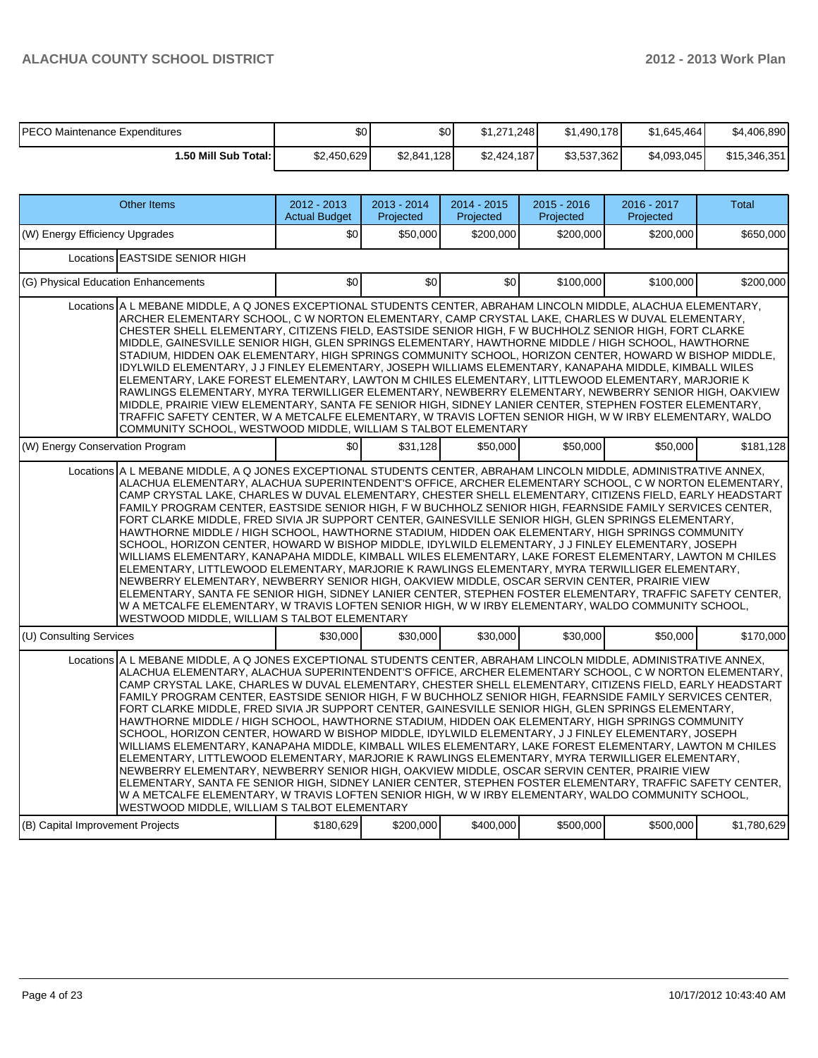$\overline{\phantom{a}}$ 

| PECO Maintenance Expenditures | \$0 I       | \$0         | \$1.271.248 | \$1,490,178 | \$1,645,464 | \$4,406,890  |
|-------------------------------|-------------|-------------|-------------|-------------|-------------|--------------|
| 1.50 Mill Sub Total: I        | \$2,450,629 | \$2,841,128 | \$2.424.187 | \$3,537,362 | \$4,093,045 | \$15,346,351 |

| <b>Other Items</b>                                                                                                                                                                                                                                                                                                                                                                                                                                                                                                                                                                                                                                                                                                                                                                                                                                                                                                                                                                                                                                                                                                                                                                                                                                                                                                                                   | 2012 - 2013<br><b>Actual Budget</b> | $2013 - 2014$<br>Projected | $2014 - 2015$<br>Projected | $2015 - 2016$<br>Projected | 2016 - 2017<br>Projected | <b>Total</b> |  |  |  |  |  |
|------------------------------------------------------------------------------------------------------------------------------------------------------------------------------------------------------------------------------------------------------------------------------------------------------------------------------------------------------------------------------------------------------------------------------------------------------------------------------------------------------------------------------------------------------------------------------------------------------------------------------------------------------------------------------------------------------------------------------------------------------------------------------------------------------------------------------------------------------------------------------------------------------------------------------------------------------------------------------------------------------------------------------------------------------------------------------------------------------------------------------------------------------------------------------------------------------------------------------------------------------------------------------------------------------------------------------------------------------|-------------------------------------|----------------------------|----------------------------|----------------------------|--------------------------|--------------|--|--|--|--|--|
| (W) Energy Efficiency Upgrades                                                                                                                                                                                                                                                                                                                                                                                                                                                                                                                                                                                                                                                                                                                                                                                                                                                                                                                                                                                                                                                                                                                                                                                                                                                                                                                       | \$0                                 | \$50,000                   | \$200,000                  | \$200.000                  | \$200.000                | \$650,000    |  |  |  |  |  |
| Locations EASTSIDE SENIOR HIGH                                                                                                                                                                                                                                                                                                                                                                                                                                                                                                                                                                                                                                                                                                                                                                                                                                                                                                                                                                                                                                                                                                                                                                                                                                                                                                                       |                                     |                            |                            |                            |                          |              |  |  |  |  |  |
| (G) Physical Education Enhancements                                                                                                                                                                                                                                                                                                                                                                                                                                                                                                                                                                                                                                                                                                                                                                                                                                                                                                                                                                                                                                                                                                                                                                                                                                                                                                                  | \$0                                 | \$0                        | \$0                        | \$100,000                  | \$100,000                | \$200,000    |  |  |  |  |  |
| Locations A L MEBANE MIDDLE, A Q JONES EXCEPTIONAL STUDENTS CENTER, ABRAHAM LINCOLN MIDDLE, ALACHUA ELEMENTARY,<br>ARCHER ELEMENTARY SCHOOL, C W NORTON ELEMENTARY, CAMP CRYSTAL LAKE, CHARLES W DUVAL ELEMENTARY,<br>CHESTER SHELL ELEMENTARY, CITIZENS FIELD, EASTSIDE SENIOR HIGH, F W BUCHHOLZ SENIOR HIGH, FORT CLARKE<br>MIDDLE, GAINESVILLE SENIOR HIGH, GLEN SPRINGS ELEMENTARY, HAWTHORNE MIDDLE / HIGH SCHOOL, HAWTHORNE<br>STADIUM, HIDDEN OAK ELEMENTARY, HIGH SPRINGS COMMUNITY SCHOOL, HORIZON CENTER, HOWARD W BISHOP MIDDLE,<br>IDYLWILD ELEMENTARY, J J FINLEY ELEMENTARY, JOSEPH WILLIAMS ELEMENTARY, KANAPAHA MIDDLE, KIMBALL WILES<br>ELEMENTARY, LAKE FOREST ELEMENTARY, LAWTON M CHILES ELEMENTARY, LITTLEWOOD ELEMENTARY, MARJORIE K<br>RAWLINGS ELEMENTARY, MYRA TERWILLIGER ELEMENTARY, NEWBERRY ELEMENTARY, NEWBERRY SENIOR HIGH, OAKVIEW<br>MIDDLE, PRAIRIE VIEW ELEMENTARY, SANTA FE SENIOR HIGH, SIDNEY LANIER CENTER, STEPHEN FOSTER ELEMENTARY,<br>TRAFFIC SAFETY CENTER, W A METCALFE ELEMENTARY, W TRAVIS LOFTEN SENIOR HIGH, W W IRBY ELEMENTARY, WALDO<br>COMMUNITY SCHOOL, WESTWOOD MIDDLE, WILLIAM S TALBOT ELEMENTARY                                                                                                                                                                                          |                                     |                            |                            |                            |                          |              |  |  |  |  |  |
| (W) Energy Conservation Program                                                                                                                                                                                                                                                                                                                                                                                                                                                                                                                                                                                                                                                                                                                                                                                                                                                                                                                                                                                                                                                                                                                                                                                                                                                                                                                      | \$0                                 | \$31,128                   | \$50,000                   | \$50,000                   | \$50,000                 | \$181,128    |  |  |  |  |  |
| Locations A L MEBANE MIDDLE, A Q JONES EXCEPTIONAL STUDENTS CENTER, ABRAHAM LINCOLN MIDDLE, ADMINISTRATIVE ANNEX,<br>ALACHUA ELEMENTARY, ALACHUA SUPERINTENDENT'S OFFICE, ARCHER ELEMENTARY SCHOOL, C W NORTON ELEMENTARY,<br>CAMP CRYSTAL LAKE, CHARLES W DUVAL ELEMENTARY, CHESTER SHELL ELEMENTARY, CITIZENS FIELD, EARLY HEADSTART<br>FAMILY PROGRAM CENTER, EASTSIDE SENIOR HIGH, F W BUCHHOLZ SENIOR HIGH, FEARNSIDE FAMILY SERVICES CENTER,<br>FORT CLARKE MIDDLE, FRED SIVIA JR SUPPORT CENTER, GAINESVILLE SENIOR HIGH, GLEN SPRINGS ELEMENTARY,<br>HAWTHORNE MIDDLE / HIGH SCHOOL, HAWTHORNE STADIUM, HIDDEN OAK ELEMENTARY, HIGH SPRINGS COMMUNITY<br>SCHOOL, HORIZON CENTER, HOWARD W BISHOP MIDDLE, IDYLWILD ELEMENTARY, J J FINLEY ELEMENTARY, JOSEPH<br>WILLIAMS ELEMENTARY, KANAPAHA MIDDLE, KIMBALL WILES ELEMENTARY, LAKE FOREST ELEMENTARY, LAWTON M CHILES<br>ELEMENTARY, LITTLEWOOD ELEMENTARY, MARJORIE K RAWLINGS ELEMENTARY, MYRA TERWILLIGER ELEMENTARY,<br>NEWBERRY ELEMENTARY, NEWBERRY SENIOR HIGH, OAKVIEW MIDDLE, OSCAR SERVIN CENTER, PRAIRIE VIEW<br>ELEMENTARY, SANTA FE SENIOR HIGH, SIDNEY LANIER CENTER, STEPHEN FOSTER ELEMENTARY, TRAFFIC SAFETY CENTER.<br>W A METCALFE ELEMENTARY, W TRAVIS LOFTEN SENIOR HIGH, W W IRBY ELEMENTARY, WALDO COMMUNITY SCHOOL,<br>WESTWOOD MIDDLE, WILLIAM S TALBOT ELEMENTARY |                                     |                            |                            |                            |                          |              |  |  |  |  |  |
| (U) Consulting Services                                                                                                                                                                                                                                                                                                                                                                                                                                                                                                                                                                                                                                                                                                                                                                                                                                                                                                                                                                                                                                                                                                                                                                                                                                                                                                                              | \$30,000                            | \$30,000                   | \$30,000                   | \$30,000                   | \$50,000                 | \$170.000    |  |  |  |  |  |
| Locations A L MEBANE MIDDLE, A Q JONES EXCEPTIONAL STUDENTS CENTER, ABRAHAM LINCOLN MIDDLE, ADMINISTRATIVE ANNEX,<br>ALACHUA ELEMENTARY, ALACHUA SUPERINTENDENT'S OFFICE, ARCHER ELEMENTARY SCHOOL, C W NORTON ELEMENTARY,<br>CAMP CRYSTAL LAKE, CHARLES W DUVAL ELEMENTARY, CHESTER SHELL ELEMENTARY, CITIZENS FIELD, EARLY HEADSTART<br>FAMILY PROGRAM CENTER, EASTSIDE SENIOR HIGH, F W BUCHHOLZ SENIOR HIGH, FEARNSIDE FAMILY SERVICES CENTER,<br>FORT CLARKE MIDDLE, FRED SIVIA JR SUPPORT CENTER, GAINESVILLE SENIOR HIGH, GLEN SPRINGS ELEMENTARY,<br>HAWTHORNE MIDDLE / HIGH SCHOOL, HAWTHORNE STADIUM, HIDDEN OAK ELEMENTARY, HIGH SPRINGS COMMUNITY<br>SCHOOL, HORIZON CENTER, HOWARD W BISHOP MIDDLE, IDYLWILD ELEMENTARY, J J FINLEY ELEMENTARY, JOSEPH<br>WILLIAMS ELEMENTARY, KANAPAHA MIDDLE, KIMBALL WILES ELEMENTARY, LAKE FOREST ELEMENTARY, LAWTON M CHILES<br>ELEMENTARY, LITTLEWOOD ELEMENTARY, MARJORIE K RAWLINGS ELEMENTARY, MYRA TERWILLIGER ELEMENTARY,<br>NEWBERRY ELEMENTARY, NEWBERRY SENIOR HIGH, OAKVIEW MIDDLE, OSCAR SERVIN CENTER, PRAIRIE VIEW<br>ELEMENTARY, SANTA FE SENIOR HIGH, SIDNEY LANIER CENTER, STEPHEN FOSTER ELEMENTARY, TRAFFIC SAFETY CENTER,<br>W A METCALFE ELEMENTARY, W TRAVIS LOFTEN SENIOR HIGH, W W IRBY ELEMENTARY, WALDO COMMUNITY SCHOOL,<br>WESTWOOD MIDDLE, WILLIAM S TALBOT ELEMENTARY |                                     |                            |                            |                            |                          |              |  |  |  |  |  |
| (B) Capital Improvement Projects                                                                                                                                                                                                                                                                                                                                                                                                                                                                                                                                                                                                                                                                                                                                                                                                                                                                                                                                                                                                                                                                                                                                                                                                                                                                                                                     | \$180,629                           | \$200,000                  | \$400,000                  | \$500,000                  | \$500,000                | \$1,780,629  |  |  |  |  |  |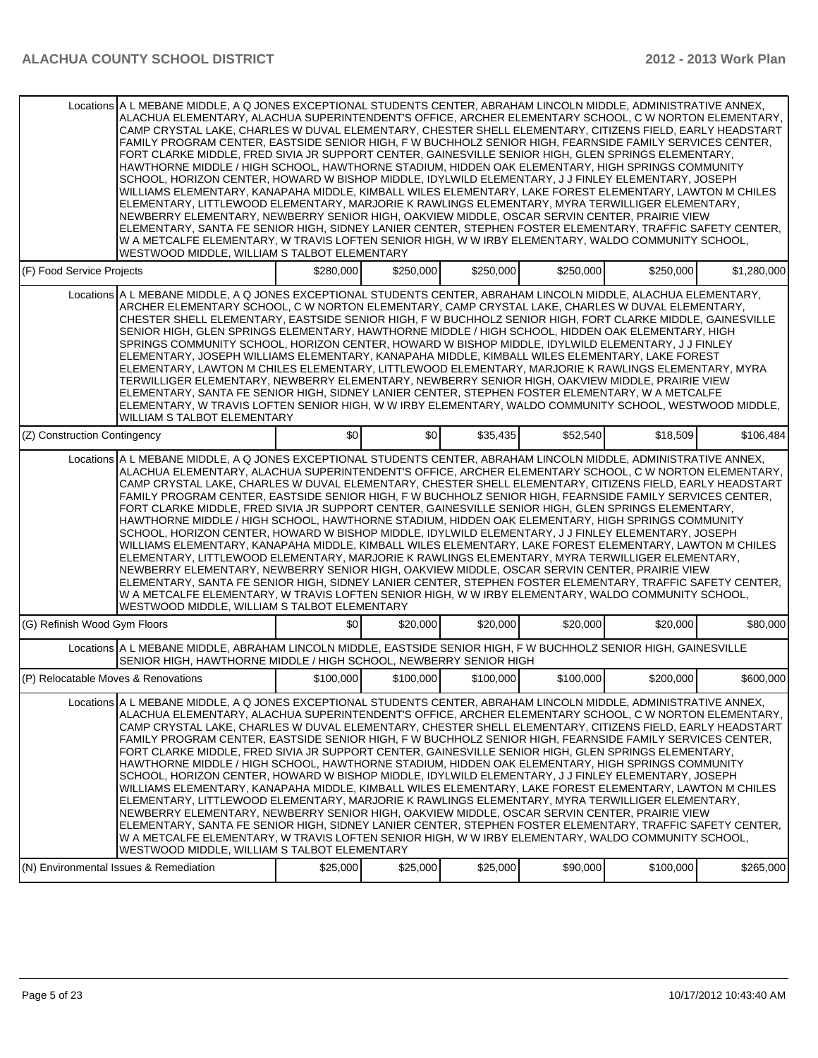|                                     | Locations A L MEBANE MIDDLE, A Q JONES EXCEPTIONAL STUDENTS CENTER, ABRAHAM LINCOLN MIDDLE, ADMINISTRATIVE ANNEX,<br>ALACHUA ELEMENTARY. ALACHUA SUPERINTENDENT'S OFFICE. ARCHER ELEMENTARY SCHOOL. C W NORTON ELEMENTARY.<br>CAMP CRYSTAL LAKE. CHARLES W DUVAL ELEMENTARY, CHESTER SHELL ELEMENTARY, CITIZENS FIELD, EARLY HEADSTART<br>FAMILY PROGRAM CENTER, EASTSIDE SENIOR HIGH, F W BUCHHOLZ SENIOR HIGH, FEARNSIDE FAMILY SERVICES CENTER,<br>FORT CLARKE MIDDLE, FRED SIVIA JR SUPPORT CENTER, GAINESVILLE SENIOR HIGH, GLEN SPRINGS ELEMENTARY,<br>HAWTHORNE MIDDLE / HIGH SCHOOL, HAWTHORNE STADIUM, HIDDEN OAK ELEMENTARY, HIGH SPRINGS COMMUNITY<br>SCHOOL, HORIZON CENTER, HOWARD W BISHOP MIDDLE, IDYLWILD ELEMENTARY, J J FINLEY ELEMENTARY, JOSEPH<br>WILLIAMS ELEMENTARY, KANAPAHA MIDDLE, KIMBALL WILES ELEMENTARY, LAKE FOREST ELEMENTARY, LAWTON M CHILES<br>ELEMENTARY, LITTLEWOOD ELEMENTARY, MARJORIE K RAWLINGS ELEMENTARY, MYRA TERWILLIGER ELEMENTARY,<br>NEWBERRY ELEMENTARY, NEWBERRY SENIOR HIGH, OAKVIEW MIDDLE, OSCAR SERVIN CENTER, PRAIRIE VIEW<br>ELEMENTARY, SANTA FE SENIOR HIGH, SIDNEY LANIER CENTER, STEPHEN FOSTER ELEMENTARY, TRAFFIC SAFETY CENTER,<br>W A METCALFE ELEMENTARY, W TRAVIS LOFTEN SENIOR HIGH, W W IRBY ELEMENTARY, WALDO COMMUNITY SCHOOL,<br>WESTWOOD MIDDLE, WILLIAM S TALBOT ELEMENTARY |           |           |           |           |           |             |
|-------------------------------------|------------------------------------------------------------------------------------------------------------------------------------------------------------------------------------------------------------------------------------------------------------------------------------------------------------------------------------------------------------------------------------------------------------------------------------------------------------------------------------------------------------------------------------------------------------------------------------------------------------------------------------------------------------------------------------------------------------------------------------------------------------------------------------------------------------------------------------------------------------------------------------------------------------------------------------------------------------------------------------------------------------------------------------------------------------------------------------------------------------------------------------------------------------------------------------------------------------------------------------------------------------------------------------------------------------------------------------------------------|-----------|-----------|-----------|-----------|-----------|-------------|
| (F) Food Service Projects           |                                                                                                                                                                                                                                                                                                                                                                                                                                                                                                                                                                                                                                                                                                                                                                                                                                                                                                                                                                                                                                                                                                                                                                                                                                                                                                                                                      | \$280,000 | \$250,000 | \$250,000 | \$250,000 | \$250,000 | \$1,280,000 |
| (Z) Construction Contingency        | Locations A L MEBANE MIDDLE, A Q JONES EXCEPTIONAL STUDENTS CENTER, ABRAHAM LINCOLN MIDDLE, ALACHUA ELEMENTARY,<br>ARCHER ELEMENTARY SCHOOL, C W NORTON ELEMENTARY, CAMP CRYSTAL LAKE, CHARLES W DUVAL ELEMENTARY,<br>CHESTER SHELL ELEMENTARY, EASTSIDE SENIOR HIGH, F W BUCHHOLZ SENIOR HIGH, FORT CLARKE MIDDLE, GAINESVILLE<br>SENIOR HIGH, GLEN SPRINGS ELEMENTARY, HAWTHORNE MIDDLE / HIGH SCHOOL, HIDDEN OAK ELEMENTARY, HIGH<br>SPRINGS COMMUNITY SCHOOL, HORIZON CENTER, HOWARD W BISHOP MIDDLE, IDYLWILD ELEMENTARY, J J FINLEY<br>ELEMENTARY, JOSEPH WILLIAMS ELEMENTARY, KANAPAHA MIDDLE, KIMBALL WILES ELEMENTARY, LAKE FOREST<br>ELEMENTARY, LAWTON M CHILES ELEMENTARY, LITTLEWOOD ELEMENTARY, MARJORIE K RAWLINGS ELEMENTARY, MYRA<br>TERWILLIGER ELEMENTARY, NEWBERRY ELEMENTARY, NEWBERRY SENIOR HIGH, OAKVIEW MIDDLE, PRAIRIE VIEW<br>ELEMENTARY, SANTA FE SENIOR HIGH, SIDNEY LANIER CENTER, STEPHEN FOSTER ELEMENTARY, W A METCALFE<br>ELEMENTARY, W TRAVIS LOFTEN SENIOR HIGH, W W IRBY ELEMENTARY, WALDO COMMUNITY SCHOOL, WESTWOOD MIDDLE,<br><b>WILLIAM S TALBOT ELEMENTARY</b>                                                                                                                                                                                                                                             | \$0       | \$0       | \$35.435  | \$52,540  | \$18,509  | \$106,484   |
|                                     | Locations A L MEBANE MIDDLE, A Q JONES EXCEPTIONAL STUDENTS CENTER, ABRAHAM LINCOLN MIDDLE, ADMINISTRATIVE ANNEX,<br>ALACHUA ELEMENTARY, ALACHUA SUPERINTENDENT'S OFFICE, ARCHER ELEMENTARY SCHOOL, C W NORTON ELEMENTARY,                                                                                                                                                                                                                                                                                                                                                                                                                                                                                                                                                                                                                                                                                                                                                                                                                                                                                                                                                                                                                                                                                                                           |           |           |           |           |           |             |
|                                     | CAMP CRYSTAL LAKE, CHARLES W DUVAL ELEMENTARY, CHESTER SHELL ELEMENTARY, CITIZENS FIELD, EARLY HEADSTART<br>FAMILY PROGRAM CENTER, EASTSIDE SENIOR HIGH, F W BUCHHOLZ SENIOR HIGH, FEARNSIDE FAMILY SERVICES CENTER,<br>FORT CLARKE MIDDLE, FRED SIVIA JR SUPPORT CENTER, GAINESVILLE SENIOR HIGH, GLEN SPRINGS ELEMENTARY,<br>HAWTHORNE MIDDLE / HIGH SCHOOL, HAWTHORNE STADIUM, HIDDEN OAK ELEMENTARY, HIGH SPRINGS COMMUNITY<br>SCHOOL, HORIZON CENTER, HOWARD W BISHOP MIDDLE, IDYLWILD ELEMENTARY, J J FINLEY ELEMENTARY, JOSEPH<br>WILLIAMS ELEMENTARY, KANAPAHA MIDDLE, KIMBALL WILES ELEMENTARY, LAKE FOREST ELEMENTARY, LAWTON M CHILES<br>ELEMENTARY, LITTLEWOOD ELEMENTARY, MARJORIE K RAWLINGS ELEMENTARY, MYRA TERWILLIGER ELEMENTARY,<br>NEWBERRY ELEMENTARY, NEWBERRY SENIOR HIGH, OAKVIEW MIDDLE, OSCAR SERVIN CENTER, PRAIRIE VIEW<br>ELEMENTARY, SANTA FE SENIOR HIGH, SIDNEY LANIER CENTER, STEPHEN FOSTER ELEMENTARY, TRAFFIC SAFETY CENTER,<br>W A METCALFE ELEMENTARY, W TRAVIS LOFTEN SENIOR HIGH, W W IRBY ELEMENTARY, WALDO COMMUNITY SCHOOL,<br>WESTWOOD MIDDLE, WILLIAM S TALBOT ELEMENTARY                                                                                                                                                                                                                               |           |           |           |           |           |             |
| (G) Refinish Wood Gym Floors        |                                                                                                                                                                                                                                                                                                                                                                                                                                                                                                                                                                                                                                                                                                                                                                                                                                                                                                                                                                                                                                                                                                                                                                                                                                                                                                                                                      | \$0       | \$20,000  | \$20,000  | \$20,000  | \$20,000  | \$80,000    |
|                                     | Locations A L MEBANE MIDDLE, ABRAHAM LINCOLN MIDDLE, EASTSIDE SENIOR HIGH, F W BUCHHOLZ SENIOR HIGH, GAINESVILLE<br>SENIOR HIGH, HAWTHORNE MIDDLE / HIGH SCHOOL, NEWBERRY SENIOR HIGH                                                                                                                                                                                                                                                                                                                                                                                                                                                                                                                                                                                                                                                                                                                                                                                                                                                                                                                                                                                                                                                                                                                                                                |           |           |           |           |           |             |
| (P) Relocatable Moves & Renovations |                                                                                                                                                                                                                                                                                                                                                                                                                                                                                                                                                                                                                                                                                                                                                                                                                                                                                                                                                                                                                                                                                                                                                                                                                                                                                                                                                      | \$100,000 | \$100,000 | \$100,000 | \$100,000 | \$200.000 | \$600,000   |
|                                     | Locations A L MEBANE MIDDLE, A Q JONES EXCEPTIONAL STUDENTS CENTER, ABRAHAM LINCOLN MIDDLE, ADMINISTRATIVE ANNEX,<br>ALACHUA ELEMENTARY. ALACHUA SUPERINTENDENT'S OFFICE. ARCHER ELEMENTARY SCHOOL. C W NORTON ELEMENTARY.<br>CAMP CRYSTAL LAKE. CHARLES W DUVAL ELEMENTARY, CHESTER SHELL ELEMENTARY, CITIZENS FIELD, EARLY HEADSTART<br>FAMILY PROGRAM CENTER, EASTSIDE SENIOR HIGH, F W BUCHHOLZ SENIOR HIGH, FEARNSIDE FAMILY SERVICES CENTER,<br>FORT CLARKE MIDDLE, FRED SIVIA JR SUPPORT CENTER, GAINESVILLE SENIOR HIGH, GLEN SPRINGS ELEMENTARY,<br>HAWTHORNE MIDDLE / HIGH SCHOOL, HAWTHORNE STADIUM, HIDDEN OAK ELEMENTARY, HIGH SPRINGS COMMUNITY<br>SCHOOL, HORIZON CENTER, HOWARD W BISHOP MIDDLE, IDYLWILD ELEMENTARY, J J FINLEY ELEMENTARY, JOSEPH<br>WILLIAMS ELEMENTARY, KANAPAHA MIDDLE, KIMBALL WILES ELEMENTARY, LAKE FOREST ELEMENTARY, LAWTON M CHILES<br>ELEMENTARY, LITTLEWOOD ELEMENTARY, MARJORIE K RAWLINGS ELEMENTARY, MYRA TERWILLIGER ELEMENTARY,<br>NEWBERRY ELEMENTARY, NEWBERRY SENIOR HIGH, OAKVIEW MIDDLE, OSCAR SERVIN CENTER, PRAIRIE VIEW<br>ELEMENTARY, SANTA FE SENIOR HIGH, SIDNEY LANIER CENTER, STEPHEN FOSTER ELEMENTARY, TRAFFIC SAFETY CENTER,<br>W A METCALFE ELEMENTARY, W TRAVIS LOFTEN SENIOR HIGH, W W IRBY ELEMENTARY, WALDO COMMUNITY SCHOOL,<br>WESTWOOD MIDDLE, WILLIAM S TALBOT ELEMENTARY |           |           |           |           |           |             |
|                                     | (N) Environmental Issues & Remediation                                                                                                                                                                                                                                                                                                                                                                                                                                                                                                                                                                                                                                                                                                                                                                                                                                                                                                                                                                                                                                                                                                                                                                                                                                                                                                               | \$25,000  | \$25,000  | \$25,000  | \$90,000  | \$100,000 | \$265,000   |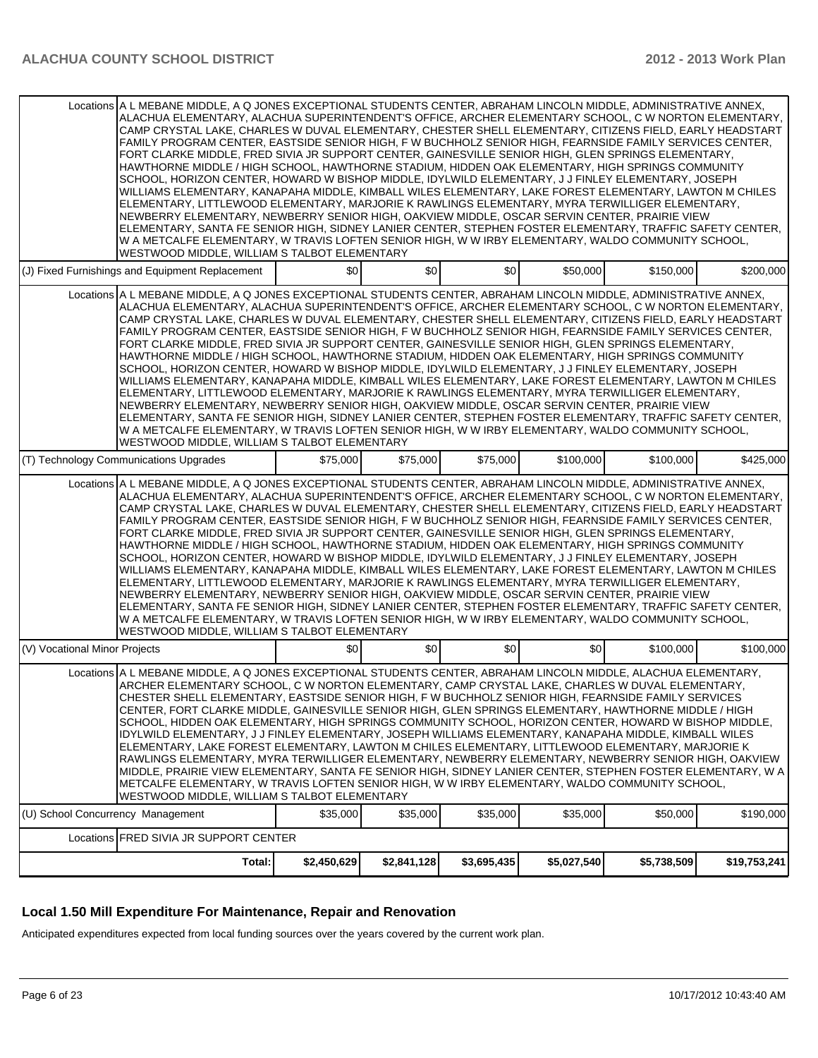|                                   | Total:                                                                                                                                                                                                                                                                                                                                                                                                                                                                                                                                                                                                                                                                                                                                                                                                                                                                                                                                                                                                                                                                                                                                                                                                                                                                                                                                                                                                                                                                                                                                                                                                                                                                                                                                                                                                                                                                        | \$2,450,629 | \$2,841,128 | \$3,695,435 | \$5,027,540 | \$5,738,509 | \$19,753,241 |
|-----------------------------------|-------------------------------------------------------------------------------------------------------------------------------------------------------------------------------------------------------------------------------------------------------------------------------------------------------------------------------------------------------------------------------------------------------------------------------------------------------------------------------------------------------------------------------------------------------------------------------------------------------------------------------------------------------------------------------------------------------------------------------------------------------------------------------------------------------------------------------------------------------------------------------------------------------------------------------------------------------------------------------------------------------------------------------------------------------------------------------------------------------------------------------------------------------------------------------------------------------------------------------------------------------------------------------------------------------------------------------------------------------------------------------------------------------------------------------------------------------------------------------------------------------------------------------------------------------------------------------------------------------------------------------------------------------------------------------------------------------------------------------------------------------------------------------------------------------------------------------------------------------------------------------|-------------|-------------|-------------|-------------|-------------|--------------|
|                                   | Locations FRED SIVIA JR SUPPORT CENTER                                                                                                                                                                                                                                                                                                                                                                                                                                                                                                                                                                                                                                                                                                                                                                                                                                                                                                                                                                                                                                                                                                                                                                                                                                                                                                                                                                                                                                                                                                                                                                                                                                                                                                                                                                                                                                        |             |             |             |             |             |              |
| (U) School Concurrency Management |                                                                                                                                                                                                                                                                                                                                                                                                                                                                                                                                                                                                                                                                                                                                                                                                                                                                                                                                                                                                                                                                                                                                                                                                                                                                                                                                                                                                                                                                                                                                                                                                                                                                                                                                                                                                                                                                               | \$35,000    | \$35,000    | \$35,000    | \$35,000    | \$50,000    | \$190,000    |
|                                   | Locations A L MEBANE MIDDLE, A Q JONES EXCEPTIONAL STUDENTS CENTER, ABRAHAM LINCOLN MIDDLE, ALACHUA ELEMENTARY,<br>ARCHER ELEMENTARY SCHOOL, C W NORTON ELEMENTARY, CAMP CRYSTAL LAKE, CHARLES W DUVAL ELEMENTARY,<br>CHESTER SHELL ELEMENTARY, EASTSIDE SENIOR HIGH, F W BUCHHOLZ SENIOR HIGH, FEARNSIDE FAMILY SERVICES<br>CENTER, FORT CLARKE MIDDLE, GAINESVILLE SENIOR HIGH, GLEN SPRINGS ELEMENTARY, HAWTHORNE MIDDLE / HIGH<br>SCHOOL, HIDDEN OAK ELEMENTARY, HIGH SPRINGS COMMUNITY SCHOOL, HORIZON CENTER, HOWARD W BISHOP MIDDLE,<br>IDYLWILD ELEMENTARY, J J FINLEY ELEMENTARY, JOSEPH WILLIAMS ELEMENTARY, KANAPAHA MIDDLE, KIMBALL WILES<br>ELEMENTARY, LAKE FOREST ELEMENTARY, LAWTON M CHILES ELEMENTARY, LITTLEWOOD ELEMENTARY, MARJORIE K<br>RAWLINGS ELEMENTARY, MYRA TERWILLIGER ELEMENTARY, NEWBERRY ELEMENTARY, NEWBERRY SENIOR HIGH, OAKVIEW<br>MIDDLE, PRAIRIE VIEW ELEMENTARY, SANTA FE SENIOR HIGH, SIDNEY LANIER CENTER, STEPHEN FOSTER ELEMENTARY, W A<br>METCALFE ELEMENTARY, W TRAVIS LOFTEN SENIOR HIGH, W W IRBY ELEMENTARY, WALDO COMMUNITY SCHOOL,<br>WESTWOOD MIDDLE, WILLIAM S TALBOT ELEMENTARY                                                                                                                                                                                                                                                                                                                                                                                                                                                                                                                                                                                                                                                                                                                                           |             |             |             |             |             |              |
| (V) Vocational Minor Projects     | WESTWOOD MIDDLE, WILLIAM S TALBOT ELEMENTARY                                                                                                                                                                                                                                                                                                                                                                                                                                                                                                                                                                                                                                                                                                                                                                                                                                                                                                                                                                                                                                                                                                                                                                                                                                                                                                                                                                                                                                                                                                                                                                                                                                                                                                                                                                                                                                  | \$0         | \$0         | \$0         | \$0         | \$100,000   | \$100,000    |
|                                   | Locations A L MEBANE MIDDLE, A Q JONES EXCEPTIONAL STUDENTS CENTER, ABRAHAM LINCOLN MIDDLE, ADMINISTRATIVE ANNEX,<br>ALACHUA ELEMENTARY, ALACHUA SUPERINTENDENT'S OFFICE, ARCHER ELEMENTARY SCHOOL, C W NORTON ELEMENTARY,<br>CAMP CRYSTAL LAKE, CHARLES W DUVAL ELEMENTARY, CHESTER SHELL ELEMENTARY, CITIZENS FIELD, EARLY HEADSTART<br>FAMILY PROGRAM CENTER, EASTSIDE SENIOR HIGH, F W BUCHHOLZ SENIOR HIGH, FEARNSIDE FAMILY SERVICES CENTER,<br>FORT CLARKE MIDDLE, FRED SIVIA JR SUPPORT CENTER, GAINESVILLE SENIOR HIGH, GLEN SPRINGS ELEMENTARY,<br>HAWTHORNE MIDDLE / HIGH SCHOOL, HAWTHORNE STADIUM, HIDDEN OAK ELEMENTARY, HIGH SPRINGS COMMUNITY<br>SCHOOL, HORIZON CENTER, HOWARD W BISHOP MIDDLE, IDYLWILD ELEMENTARY, J J FINLEY ELEMENTARY, JOSEPH<br>WILLIAMS ELEMENTARY, KANAPAHA MIDDLE, KIMBALL WILES ELEMENTARY, LAKE FOREST ELEMENTARY, LAWTON M CHILES<br>ELEMENTARY, LITTLEWOOD ELEMENTARY, MARJORIE K RAWLINGS ELEMENTARY, MYRA TERWILLIGER ELEMENTARY,<br>NEWBERRY ELEMENTARY, NEWBERRY SENIOR HIGH, OAKVIEW MIDDLE, OSCAR SERVIN CENTER, PRAIRIE VIEW<br>ELEMENTARY, SANTA FE SENIOR HIGH, SIDNEY LANIER CENTER, STEPHEN FOSTER ELEMENTARY, TRAFFIC SAFETY CENTER,<br>W A METCALFE ELEMENTARY, W TRAVIS LOFTEN SENIOR HIGH, W W IRBY ELEMENTARY, WALDO COMMUNITY SCHOOL,                                                                                                                                                                                                                                                                                                                                                                                                                                                                                                                                                                          |             |             |             |             |             |              |
|                                   | (T) Technology Communications Upgrades                                                                                                                                                                                                                                                                                                                                                                                                                                                                                                                                                                                                                                                                                                                                                                                                                                                                                                                                                                                                                                                                                                                                                                                                                                                                                                                                                                                                                                                                                                                                                                                                                                                                                                                                                                                                                                        | \$75,000    | \$75,000    | \$75,000    | \$100,000   | \$100,000   | \$425,000    |
|                                   | ELEMENTARY, LITTLEWOOD ELEMENTARY, MARJORIE K RAWLINGS ELEMENTARY, MYRA TERWILLIGER ELEMENTARY,<br>NEWBERRY ELEMENTARY, NEWBERRY SENIOR HIGH, OAKVIEW MIDDLE, OSCAR SERVIN CENTER, PRAIRIE VIEW<br>ELEMENTARY, SANTA FE SENIOR HIGH, SIDNEY LANIER CENTER, STEPHEN FOSTER ELEMENTARY, TRAFFIC SAFETY CENTER,<br>W A METCALFE ELEMENTARY, W TRAVIS LOFTEN SENIOR HIGH, W W IRBY ELEMENTARY, WALDO COMMUNITY SCHOOL,<br>WESTWOOD MIDDLE, WILLIAM S TALBOT ELEMENTARY<br>(J) Fixed Furnishings and Equipment Replacement<br>Locations A L MEBANE MIDDLE, A Q JONES EXCEPTIONAL STUDENTS CENTER, ABRAHAM LINCOLN MIDDLE, ADMINISTRATIVE ANNEX,<br>ALACHUA ELEMENTARY, ALACHUA SUPERINTENDENT'S OFFICE, ARCHER ELEMENTARY SCHOOL, C W NORTON ELEMENTARY,<br>CAMP CRYSTAL LAKE, CHARLES W DUVAL ELEMENTARY, CHESTER SHELL ELEMENTARY, CITIZENS FIELD, EARLY HEADSTART<br>FAMILY PROGRAM CENTER, EASTSIDE SENIOR HIGH, F W BUCHHOLZ SENIOR HIGH, FEARNSIDE FAMILY SERVICES CENTER,<br>FORT CLARKE MIDDLE, FRED SIVIA JR SUPPORT CENTER, GAINESVILLE SENIOR HIGH, GLEN SPRINGS ELEMENTARY,<br>HAWTHORNE MIDDLE / HIGH SCHOOL, HAWTHORNE STADIUM, HIDDEN OAK ELEMENTARY, HIGH SPRINGS COMMUNITY<br>SCHOOL, HORIZON CENTER, HOWARD W BISHOP MIDDLE, IDYLWILD ELEMENTARY, J J FINLEY ELEMENTARY, JOSEPH<br>WILLIAMS ELEMENTARY, KANAPAHA MIDDLE, KIMBALL WILES ELEMENTARY, LAKE FOREST ELEMENTARY, LAWTON M CHILES<br>ELEMENTARY, LITTLEWOOD ELEMENTARY, MARJORIE K RAWLINGS ELEMENTARY, MYRA TERWILLIGER ELEMENTARY.<br>NEWBERRY ELEMENTARY, NEWBERRY SENIOR HIGH, OAKVIEW MIDDLE, OSCAR SERVIN CENTER, PRAIRIE VIEW<br>ELEMENTARY, SANTA FE SENIOR HIGH, SIDNEY LANIER CENTER, STEPHEN FOSTER ELEMENTARY, TRAFFIC SAFETY CENTER,<br>W A METCALFE ELEMENTARY, W TRAVIS LOFTEN SENIOR HIGH, W W IRBY ELEMENTARY, WALDO COMMUNITY SCHOOL,<br>WESTWOOD MIDDLE, WILLIAM S TALBOT ELEMENTARY | \$0         | \$0         | \$0         | \$50,000    | \$150,000   | \$200,000    |
|                                   | Locations A L MEBANE MIDDLE, A Q JONES EXCEPTIONAL STUDENTS CENTER, ABRAHAM LINCOLN MIDDLE, ADMINISTRATIVE ANNEX,<br>ALACHUA ELEMENTARY, ALACHUA SUPERINTENDENT'S OFFICE, ARCHER ELEMENTARY SCHOOL, C W NORTON ELEMENTARY,<br>CAMP CRYSTAL LAKE, CHARLES W DUVAL ELEMENTARY, CHESTER SHELL ELEMENTARY, CITIZENS FIELD, EARLY HEADSTART<br>FAMILY PROGRAM CENTER, EASTSIDE SENIOR HIGH, F W BUCHHOLZ SENIOR HIGH, FEARNSIDE FAMILY SERVICES CENTER,<br>FORT CLARKE MIDDLE, FRED SIVIA JR SUPPORT CENTER, GAINESVILLE SENIOR HIGH, GLEN SPRINGS ELEMENTARY,<br>HAWTHORNE MIDDLE / HIGH SCHOOL, HAWTHORNE STADIUM, HIDDEN OAK ELEMENTARY, HIGH SPRINGS COMMUNITY<br>SCHOOL, HORIZON CENTER, HOWARD W BISHOP MIDDLE, IDYLWILD ELEMENTARY, J J FINLEY ELEMENTARY, JOSEPH<br>WILLIAMS ELEMENTARY, KANAPAHA MIDDLE, KIMBALL WILES ELEMENTARY, LAKE FOREST ELEMENTARY, LAWTON M CHILES                                                                                                                                                                                                                                                                                                                                                                                                                                                                                                                                                                                                                                                                                                                                                                                                                                                                                                                                                                                                |             |             |             |             |             |              |

#### **Local 1.50 Mill Expenditure For Maintenance, Repair and Renovation**

Anticipated expenditures expected from local funding sources over the years covered by the current work plan.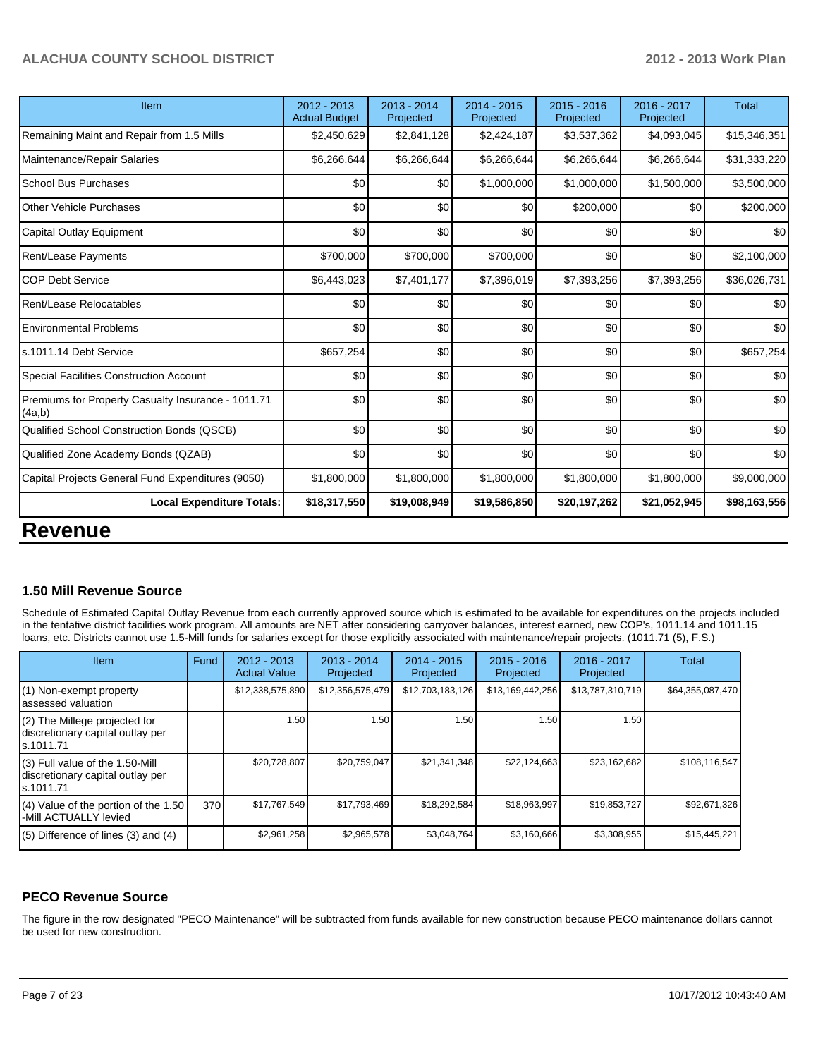| Item                                                         | 2012 - 2013<br><b>Actual Budget</b> | $2013 - 2014$<br>Projected | $2014 - 2015$<br>Projected | $2015 - 2016$<br>Projected | 2016 - 2017<br>Projected | <b>Total</b> |
|--------------------------------------------------------------|-------------------------------------|----------------------------|----------------------------|----------------------------|--------------------------|--------------|
| Remaining Maint and Repair from 1.5 Mills                    | \$2,450,629                         | \$2,841,128                | \$2,424,187                | \$3,537,362                | \$4,093,045              | \$15,346,351 |
| Maintenance/Repair Salaries                                  | \$6,266,644                         | \$6,266,644                | \$6,266,644                | \$6,266,644                | \$6,266,644              | \$31,333,220 |
| <b>School Bus Purchases</b>                                  | \$0                                 | \$0                        | \$1,000,000                | \$1,000,000                | \$1,500,000              | \$3,500,000  |
| <b>Other Vehicle Purchases</b>                               | \$0                                 | \$0                        | \$0                        | \$200,000                  | \$0                      | \$200,000    |
| Capital Outlay Equipment                                     | \$0                                 | \$0                        | \$0                        | \$0                        | \$0                      | \$0          |
| <b>Rent/Lease Payments</b>                                   | \$700,000                           | \$700,000                  | \$700,000                  | \$0                        | \$0                      | \$2,100,000  |
| <b>COP Debt Service</b>                                      | \$6,443,023                         | \$7,401,177                | \$7,396,019                | \$7,393,256                | \$7,393,256              | \$36,026,731 |
| Rent/Lease Relocatables                                      | \$0                                 | \$0                        | \$0                        | \$0                        | \$0                      | \$0          |
| <b>Environmental Problems</b>                                | \$0                                 | \$0                        | \$0                        | \$0                        | \$0                      | \$0          |
| s.1011.14 Debt Service                                       | \$657,254                           | \$0                        | \$0                        | \$0                        | \$0                      | \$657,254    |
| Special Facilities Construction Account                      | \$0                                 | \$0                        | \$0                        | \$0                        | \$0                      | \$0          |
| Premiums for Property Casualty Insurance - 1011.71<br>(4a,b) | \$0                                 | \$0                        | \$0                        | \$0                        | \$0                      | \$0          |
| Qualified School Construction Bonds (QSCB)                   | \$0                                 | \$0                        | \$0                        | \$0                        | \$0                      | \$0          |
| Qualified Zone Academy Bonds (QZAB)                          | \$0                                 | \$0                        | \$0                        | \$0                        | \$0                      | \$0          |
| Capital Projects General Fund Expenditures (9050)            | \$1,800,000                         | \$1,800,000                | \$1,800,000                | \$1,800,000                | \$1,800,000              | \$9,000,000  |
| <b>Local Expenditure Totals:</b>                             | \$18,317,550                        | \$19,008,949               | \$19,586,850               | \$20,197,262               | \$21,052,945             | \$98,163,556 |
| <b>Revenue</b>                                               |                                     |                            |                            |                            |                          |              |

## **1.50 Mill Revenue Source**

Schedule of Estimated Capital Outlay Revenue from each currently approved source which is estimated to be available for expenditures on the projects included in the tentative district facilities work program. All amounts are NET after considering carryover balances, interest earned, new COP's, 1011.14 and 1011.15 loans, etc. Districts cannot use 1.5-Mill funds for salaries except for those explicitly associated with maintenance/repair projects. (1011.71 (5), F.S.)

| <b>Item</b>                                                                       | Fund | $2012 - 2013$<br><b>Actual Value</b> | $2013 - 2014$<br>Projected | $2014 - 2015$<br>Projected | $2015 - 2016$<br>Projected | $2016 - 2017$<br>Projected | Total            |
|-----------------------------------------------------------------------------------|------|--------------------------------------|----------------------------|----------------------------|----------------------------|----------------------------|------------------|
| (1) Non-exempt property<br>assessed valuation                                     |      | \$12,338,575,890                     | \$12,356,575,479           | \$12,703,183,126           | \$13,169,442,256           | \$13,787,310,719           | \$64,355,087,470 |
| (2) The Millege projected for<br>discretionary capital outlay per<br>ls.1011.71   |      | 1.50 <sub>1</sub>                    | 1.50                       | 1.50                       | 1.50                       | 1.50                       |                  |
| (3) Full value of the 1.50-Mill<br>discretionary capital outlay per<br>ls.1011.71 |      | \$20,728,807                         | \$20,759,047               | \$21,341,348               | \$22,124,663               | \$23,162,682               | \$108,116,547    |
| (4) Value of the portion of the 1.50<br>-Mill ACTUALLY levied                     | 370  | \$17,767,549                         | \$17,793,469               | \$18,292,584               | \$18,963,997               | \$19,853,727               | \$92,671,326     |
| $(5)$ Difference of lines $(3)$ and $(4)$                                         |      | \$2,961,258                          | \$2,965,578                | \$3,048,764                | \$3,160,666                | \$3,308,955                | \$15,445,221     |

## **PECO Revenue Source**

The figure in the row designated "PECO Maintenance" will be subtracted from funds available for new construction because PECO maintenance dollars cannot be used for new construction.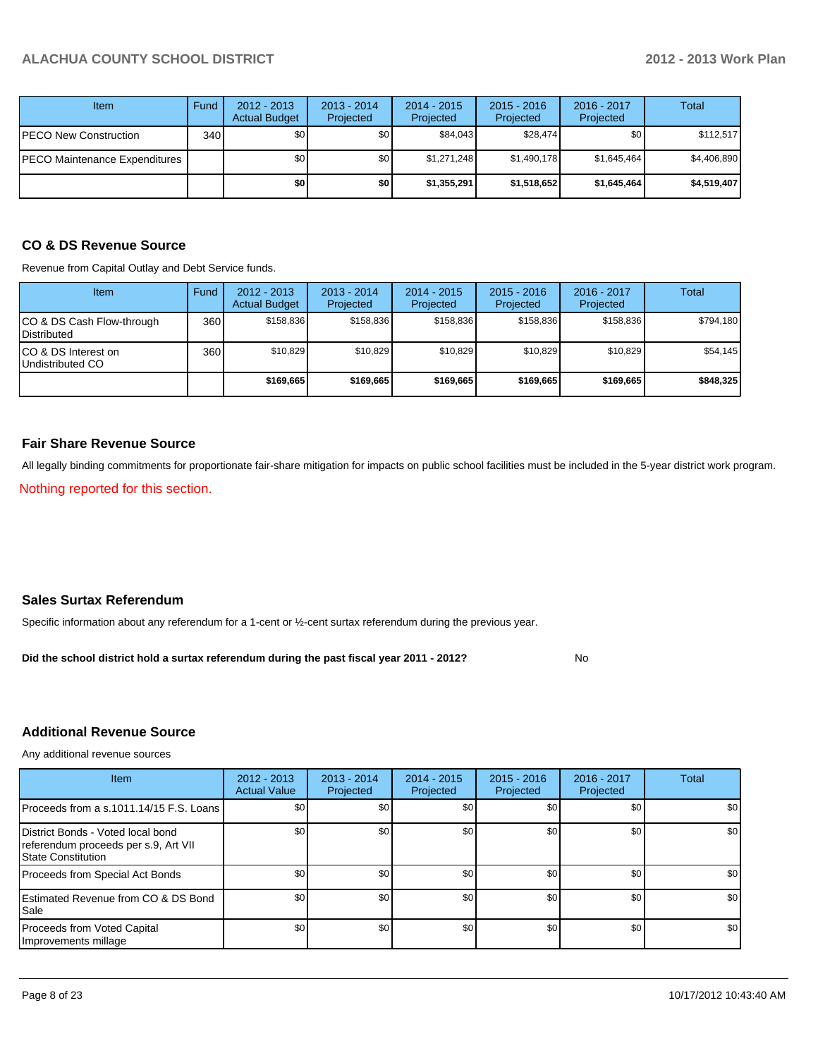| Item                          | Fund | $2012 - 2013$<br><b>Actual Budget</b> | $2013 - 2014$<br>Projected | $2014 - 2015$<br>Projected | $2015 - 2016$<br>Projected | $2016 - 2017$<br>Projected | <b>Total</b> |
|-------------------------------|------|---------------------------------------|----------------------------|----------------------------|----------------------------|----------------------------|--------------|
| <b>PECO New Construction</b>  | 340  | \$0                                   | \$0                        | \$84,043                   | \$28,474                   | \$0                        | \$112,517    |
| PECO Maintenance Expenditures |      | \$0                                   | \$0                        | \$1,271,248                | \$1,490,178                | \$1,645,464                | \$4,406,890  |
|                               |      | \$0                                   | \$0                        | \$1,355,291                | \$1,518,652                | \$1,645,464]               | \$4,519,407  |

## **CO & DS Revenue Source**

Revenue from Capital Outlay and Debt Service funds.

| <b>Item</b>                                      | Fund | $2012 - 2013$<br><b>Actual Budget</b> | $2013 - 2014$<br>Projected | $2014 - 2015$<br>Projected | $2015 - 2016$<br>Projected | $2016 - 2017$<br>Projected | Total     |
|--------------------------------------------------|------|---------------------------------------|----------------------------|----------------------------|----------------------------|----------------------------|-----------|
| ICO & DS Cash Flow-through<br><b>Distributed</b> | 360  | \$158.836                             | \$158.836                  | \$158.836                  | \$158.836                  | \$158,836                  | \$794,180 |
| ICO & DS Interest on<br>Undistributed CO         | 360  | \$10.829                              | \$10,829                   | \$10.829                   | \$10.829                   | \$10,829                   | \$54,145  |
|                                                  |      | \$169,665                             | \$169,665                  | \$169.665                  | \$169,665                  | \$169,665                  | \$848,325 |

### **Fair Share Revenue Source**

All legally binding commitments for proportionate fair-share mitigation for impacts on public school facilities must be included in the 5-year district work program.

Nothing reported for this section.

### **Sales Surtax Referendum**

Specific information about any referendum for a 1-cent or ½-cent surtax referendum during the previous year.

No **Did the school district hold a surtax referendum during the past fiscal year 2011 - 2012?**

## **Additional Revenue Source**

Any additional revenue sources

| <b>Item</b>                                                                                            | 2012 - 2013<br><b>Actual Value</b> | $2013 - 2014$<br>Projected | $2014 - 2015$<br>Projected | $2015 - 2016$<br>Projected | 2016 - 2017<br>Projected | Total |
|--------------------------------------------------------------------------------------------------------|------------------------------------|----------------------------|----------------------------|----------------------------|--------------------------|-------|
| Proceeds from a s.1011.14/15 F.S. Loans                                                                | \$0 <sub>1</sub>                   | \$0                        | \$0                        | \$0                        | \$0                      | \$0   |
| District Bonds - Voted local bond<br>referendum proceeds per s.9, Art VII<br><b>State Constitution</b> | \$0                                | \$0                        | \$0                        | \$0                        | \$0                      | \$0   |
| Proceeds from Special Act Bonds                                                                        | \$0                                | \$0                        | \$0                        | \$0                        | \$0                      | \$0   |
| <b>Estimated Revenue from CO &amp; DS Bond</b><br><b>I</b> Sale                                        | \$0                                | \$0                        | \$0                        | \$0                        | \$0                      | \$0   |
| Proceeds from Voted Capital<br>Improvements millage                                                    | \$0                                | \$0                        | \$0                        | \$0                        | \$0 <sub>1</sub>         | \$0   |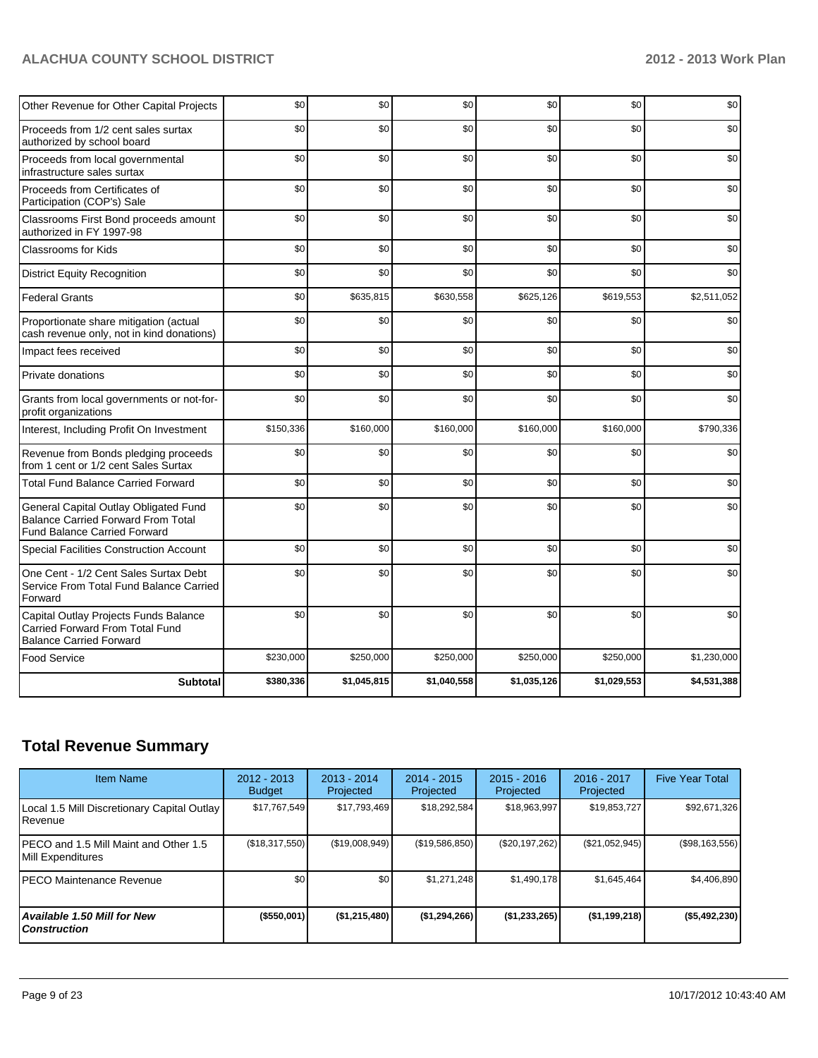| Other Revenue for Other Capital Projects                                                                                  | \$0       | \$0         | \$0         | \$0         | \$0         | \$0         |
|---------------------------------------------------------------------------------------------------------------------------|-----------|-------------|-------------|-------------|-------------|-------------|
| Proceeds from 1/2 cent sales surtax<br>authorized by school board                                                         | \$0       | \$0         | \$0         | \$0         | \$0         | \$0         |
| Proceeds from local governmental<br>infrastructure sales surtax                                                           | \$0       | \$0         | \$0         | \$0         | \$0         | \$0         |
| Proceeds from Certificates of<br>Participation (COP's) Sale                                                               | \$0       | \$0         | \$0         | \$0         | \$0         | \$0         |
| Classrooms First Bond proceeds amount<br>authorized in FY 1997-98                                                         | \$0       | \$0         | \$0         | \$0         | \$0         | \$0         |
| <b>Classrooms for Kids</b>                                                                                                | \$0       | \$0         | \$0         | \$0         | \$0         | \$0         |
| <b>District Equity Recognition</b>                                                                                        | \$0       | \$0         | \$0         | \$0         | \$0         | \$0         |
| <b>Federal Grants</b>                                                                                                     | \$0       | \$635,815   | \$630,558   | \$625,126   | \$619,553   | \$2,511,052 |
| Proportionate share mitigation (actual<br>cash revenue only, not in kind donations)                                       | \$0       | \$0         | \$0         | \$0         | \$0         | \$0         |
| Impact fees received                                                                                                      | \$0       | \$0         | \$0         | \$0         | \$0         | \$0         |
| Private donations                                                                                                         | \$0       | \$0         | \$0         | \$0         | \$0         | \$0         |
| Grants from local governments or not-for-<br>profit organizations                                                         | \$0       | \$0         | \$0         | \$0         | \$0         | \$0         |
| Interest, Including Profit On Investment                                                                                  | \$150,336 | \$160,000   | \$160,000   | \$160,000   | \$160,000   | \$790,336   |
| Revenue from Bonds pledging proceeds<br>from 1 cent or 1/2 cent Sales Surtax                                              | \$0       | \$0         | \$0         | \$0         | \$0         | \$0         |
| <b>Total Fund Balance Carried Forward</b>                                                                                 | \$0       | \$0         | \$0         | \$0         | \$0         | \$0         |
| General Capital Outlay Obligated Fund<br><b>Balance Carried Forward From Total</b><br><b>Fund Balance Carried Forward</b> | \$0       | \$0         | \$0         | \$0         | \$0         | \$0         |
| Special Facilities Construction Account                                                                                   | \$0       | \$0         | \$0         | \$0         | \$0         | \$0         |
| One Cent - 1/2 Cent Sales Surtax Debt<br>Service From Total Fund Balance Carried<br>Forward                               | \$0       | \$0         | \$0         | \$0         | \$0         | \$0         |
| Capital Outlay Projects Funds Balance<br><b>Carried Forward From Total Fund</b><br><b>Balance Carried Forward</b>         | \$0       | \$0         | \$0         | \$0         | \$0         | \$0         |
| <b>Food Service</b>                                                                                                       | \$230,000 | \$250,000   | \$250,000   | \$250,000   | \$250,000   | \$1,230,000 |
| <b>Subtotal</b>                                                                                                           | \$380,336 | \$1,045,815 | \$1,040,558 | \$1,035,126 | \$1,029,553 | \$4,531,388 |

## **Total Revenue Summary**

| <b>Item Name</b>                                            | 2012 - 2013<br><b>Budget</b> | $2013 - 2014$<br>Projected | $2014 - 2015$<br>Projected | $2015 - 2016$<br>Projected | $2016 - 2017$<br>Projected | <b>Five Year Total</b> |
|-------------------------------------------------------------|------------------------------|----------------------------|----------------------------|----------------------------|----------------------------|------------------------|
| Local 1.5 Mill Discretionary Capital Outlay<br>IRevenue     | \$17,767,549                 | \$17,793,469               | \$18,292,584               | \$18,963,997               | \$19,853,727               | \$92,671,326           |
| IPECO and 1.5 Mill Maint and Other 1.5<br>Mill Expenditures | (\$18,317,550)               | (\$19,008,949)             | (\$19,586,850)             | (\$20,197,262)             | $(\$21,052,945)$           | (\$98,163,556)         |
| IPECO Maintenance Revenue                                   | \$0                          | \$0                        | \$1.271.248                | \$1,490,178                | \$1,645,464                | \$4,406,890            |
| Available 1.50 Mill for New l<br>l Construction             | (\$550,001)                  | (\$1,215,480)              | (\$1,294,266)              | (\$1,233,265)              | $($ \$1,199,218)           | (\$5,492,230)          |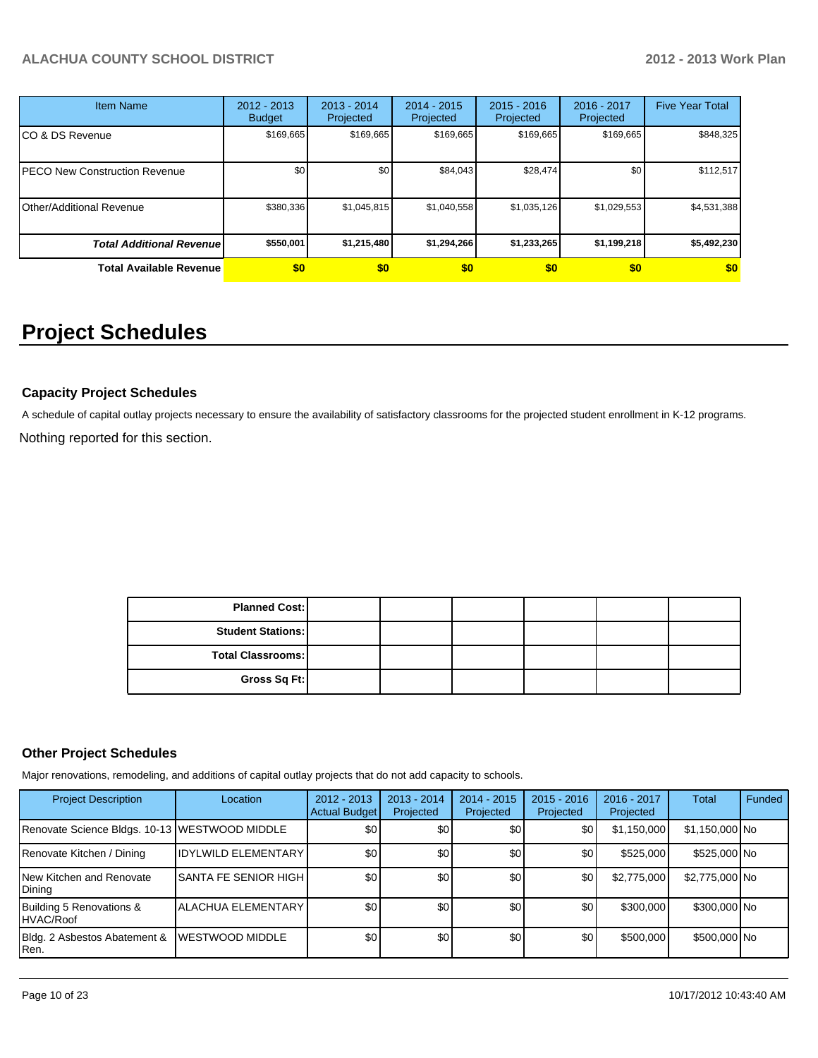| <b>Item Name</b>                      | 2012 - 2013<br><b>Budget</b> | $2013 - 2014$<br>Projected | 2014 - 2015<br>Projected | $2015 - 2016$<br>Projected | 2016 - 2017<br>Projected | <b>Five Year Total</b> |
|---------------------------------------|------------------------------|----------------------------|--------------------------|----------------------------|--------------------------|------------------------|
| ICO & DS Revenue                      | \$169,665                    | \$169,665                  | \$169,665                | \$169,665                  | \$169,665                | \$848,325              |
| <b>IPECO New Construction Revenue</b> | \$0                          | \$0                        | \$84.043                 | \$28,474                   | \$0                      | \$112,517              |
| IOther/Additional Revenue             | \$380,336                    | \$1,045,815                | \$1,040,558              | \$1,035,126                | \$1,029,553              | \$4,531,388            |
| <b>Total Additional Revenuel</b>      | \$550,001                    | \$1,215,480                | \$1,294,266              | \$1,233,265                | \$1,199,218              | \$5,492,230            |
| <b>Total Available Revenue</b>        | \$0                          | \$0                        | \$0                      | \$0                        | \$0                      | \$0                    |

# **Project Schedules**

## **Capacity Project Schedules**

Nothing reported for this section. A schedule of capital outlay projects necessary to ensure the availability of satisfactory classrooms for the projected student enrollment in K-12 programs.

| <b>Planned Cost:</b>     |  |  |  |
|--------------------------|--|--|--|
| <b>Student Stations:</b> |  |  |  |
| <b>Total Classrooms:</b> |  |  |  |
| Gross Sq Ft:             |  |  |  |

#### **Other Project Schedules**

Major renovations, remodeling, and additions of capital outlay projects that do not add capacity to schools.

| <b>Project Description</b>                    | Location                       | 2012 - 2013<br><b>Actual Budget</b> | $2013 - 2014$<br>Projected | $2014 - 2015$<br>Projected | $2015 - 2016$<br>Projected | $2016 - 2017$<br>Projected | Total          | Funded |
|-----------------------------------------------|--------------------------------|-------------------------------------|----------------------------|----------------------------|----------------------------|----------------------------|----------------|--------|
| Renovate Science Bldgs. 10-13 WESTWOOD MIDDLE |                                | \$0                                 | \$0                        | \$0                        | ا 30                       | \$1,150,000                | \$1,150,000 No |        |
| Renovate Kitchen / Dining                     | <b>IDYLWILD ELEMENTARY</b>     | \$0                                 | \$0                        | \$0                        | \$OI                       | \$525,000                  | \$525,000 No   |        |
| New Kitchen and Renovate<br>Dining            | ISANTA FE SENIOR HIGH <b>I</b> | \$0                                 | \$0                        | \$0                        | ا 30                       | \$2,775,000                | \$2,775,000 No |        |
| Building 5 Renovations &<br>HVAC/Roof         | <b>ALACHUA ELEMENTARY</b>      | \$0 <sub>1</sub>                    | \$0 <sub>0</sub>           | \$0                        | \$O I                      | \$300,000                  | \$300,000 No   |        |
| Bldg. 2 Asbestos Abatement &<br>Ren.          | <b>WESTWOOD MIDDLE</b>         | \$0                                 | \$0                        | \$0                        | \$0 <sub>l</sub>           | \$500,000                  | \$500,000 No   |        |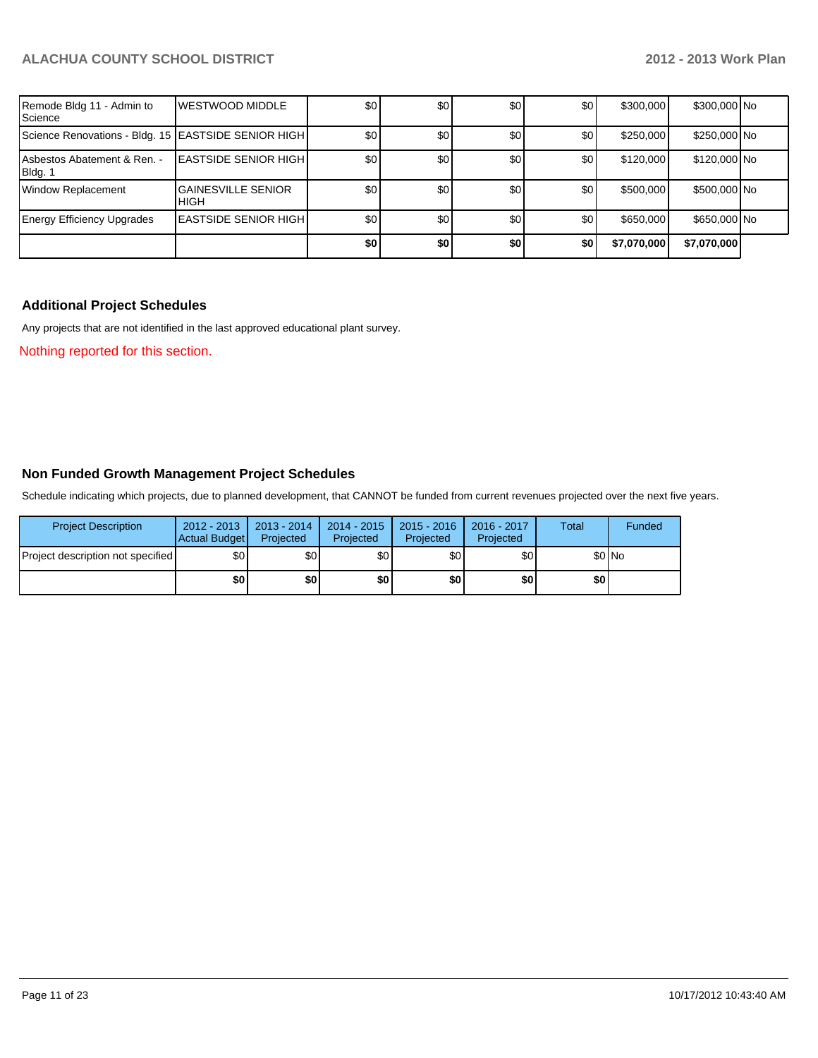| Remode Bldg 11 - Admin to<br>Science                  | <b>IWESTWOOD MIDDLE</b>                  | \$0 | 30  | \$0 <sub>1</sub> | \$0              | \$300,000   | \$300,000 No |  |
|-------------------------------------------------------|------------------------------------------|-----|-----|------------------|------------------|-------------|--------------|--|
| Science Renovations - Bldg. 15   EASTSIDE SENIOR HIGH |                                          | \$0 | \$0 | \$0              | \$0              | \$250,000   | \$250,000 No |  |
| Asbestos Abatement & Ren. -<br>Bldg. 1                | <b>LEASTSIDE SENIOR HIGHI</b>            | \$0 | \$0 | \$0              | \$0              | \$120,000   | \$120,000 No |  |
| <b>Window Replacement</b>                             | <b>GAINESVILLE SENIOR</b><br><b>HIGH</b> | \$0 | \$0 | \$0              | \$0              | \$500,000   | \$500,000 No |  |
| <b>Energy Efficiency Upgrades</b>                     | <b>LEASTSIDE SENIOR HIGHI</b>            | \$0 | \$0 | \$0              | \$0 <sub>1</sub> | \$650,000   | \$650,000 No |  |
|                                                       |                                          | \$0 | \$0 | \$0              | \$0              | \$7,070,000 | \$7,070,000  |  |

## **Additional Project Schedules**

Any projects that are not identified in the last approved educational plant survey.

Nothing reported for this section.

### **Non Funded Growth Management Project Schedules**

Schedule indicating which projects, due to planned development, that CANNOT be funded from current revenues projected over the next five years.

| <b>Project Description</b>        | 2012 - 2013<br><b>Actual Budget</b> | $2013 - 2014$<br>Projected | 2014 - 2015<br>Projected | $2015 - 2016$<br>Projected | 2016 - 2017<br>Projected | Total | Funded |
|-----------------------------------|-------------------------------------|----------------------------|--------------------------|----------------------------|--------------------------|-------|--------|
| Project description not specified | \$0                                 | \$0 <sub>1</sub>           | \$0 <sub>1</sub>         | \$0                        | \$٥Ι                     |       | \$0 No |
|                                   | \$0                                 | \$0                        | \$0                      | \$0                        | \$0                      | \$0   |        |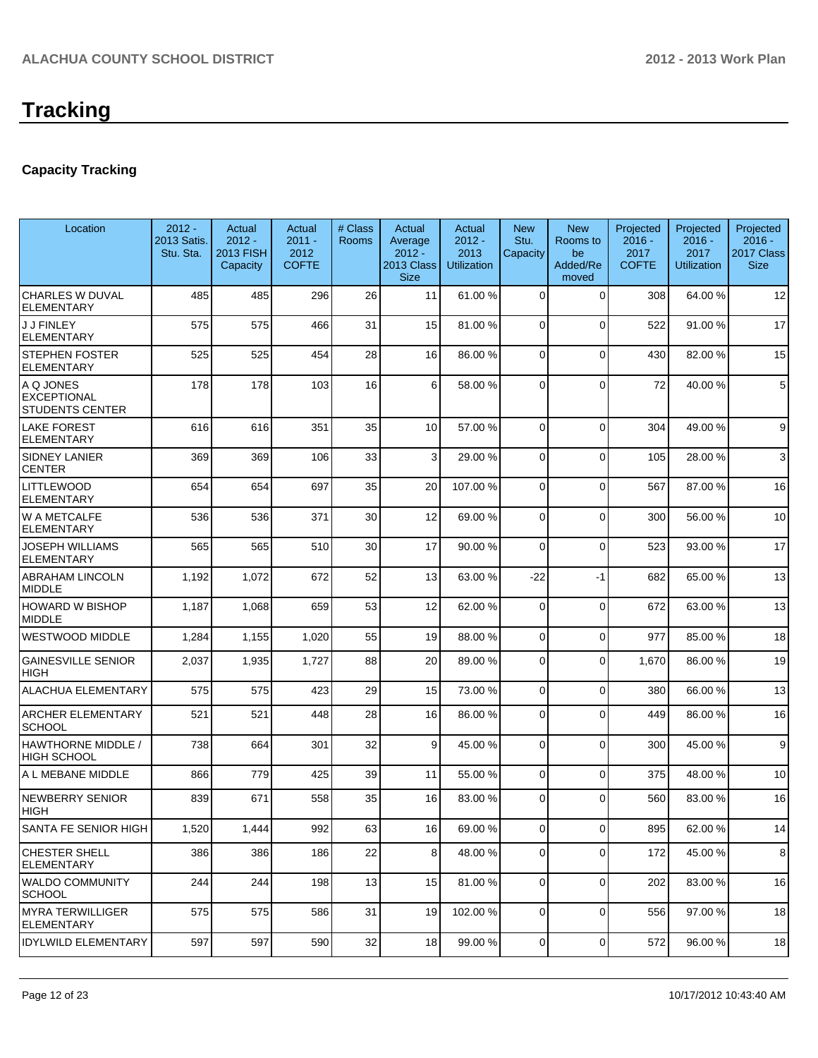## **Capacity Tracking**

| Location                                           | $2012 -$<br>2013 Satis.<br>Stu. Sta. | Actual<br>$2012 -$<br>2013 FISH<br>Capacity | Actual<br>$2011 -$<br>2012<br><b>COFTE</b> | # Class<br><b>Rooms</b> | Actual<br>Average<br>$2012 -$<br><b>2013 Class</b><br><b>Size</b> | Actual<br>$2012 -$<br>2013<br><b>Utilization</b> | <b>New</b><br>Stu.<br>Capacity | <b>New</b><br>Rooms to<br>be<br>Added/Re<br>moved | Projected<br>$2016 -$<br>2017<br><b>COFTE</b> | Projected<br>$2016 -$<br>2017<br><b>Utilization</b> | Projected<br>$2016 -$<br>2017 Class<br><b>Size</b> |
|----------------------------------------------------|--------------------------------------|---------------------------------------------|--------------------------------------------|-------------------------|-------------------------------------------------------------------|--------------------------------------------------|--------------------------------|---------------------------------------------------|-----------------------------------------------|-----------------------------------------------------|----------------------------------------------------|
| CHARLES W DUVAL<br><b>ELEMENTARY</b>               | 485                                  | 485                                         | 296                                        | 26                      | 11                                                                | 61.00 %                                          | $\Omega$                       | $\Omega$                                          | 308                                           | 64.00%                                              | 12                                                 |
| <b>J J FINLEY</b><br><b>ELEMENTARY</b>             | 575                                  | 575                                         | 466                                        | 31                      | 15                                                                | 81.00 %                                          | $\Omega$                       | $\Omega$                                          | 522                                           | 91.00%                                              | 17                                                 |
| <b>STEPHEN FOSTER</b><br><b>ELEMENTARY</b>         | 525                                  | 525                                         | 454                                        | 28                      | 16                                                                | 86.00 %                                          | $\Omega$                       | $\Omega$                                          | 430                                           | 82.00%                                              | 15                                                 |
| A Q JONES<br>EXCEPTIONAL<br><b>STUDENTS CENTER</b> | 178                                  | 178                                         | 103                                        | 16                      | 6                                                                 | 58.00 %                                          | $\Omega$                       | $\Omega$                                          | 72                                            | 40.00%                                              | 5                                                  |
| <b>LAKE FOREST</b><br><b>ELEMENTARY</b>            | 616                                  | 616                                         | 351                                        | 35                      | 10                                                                | 57.00 %                                          | $\Omega$                       | $\Omega$                                          | 304                                           | 49.00 %                                             | 9                                                  |
| <b>SIDNEY LANIER</b><br><b>CENTER</b>              | 369                                  | 369                                         | 106                                        | 33                      | 3                                                                 | 29.00 %                                          | $\Omega$                       | $\Omega$                                          | 105                                           | 28.00 %                                             | 3                                                  |
| <b>LITTLEWOOD</b><br><b>ELEMENTARY</b>             | 654                                  | 654                                         | 697                                        | 35                      | 20                                                                | 107.00%                                          | $\Omega$                       | $\Omega$                                          | 567                                           | 87.00 %                                             | 16                                                 |
| W A METCALFE<br><b>ELEMENTARY</b>                  | 536                                  | 536                                         | 371                                        | 30                      | 12                                                                | 69.00 %                                          | $\Omega$                       | $\Omega$                                          | 300                                           | 56.00 %                                             | 10                                                 |
| <b>JOSEPH WILLIAMS</b><br><b>ELEMENTARY</b>        | 565                                  | 565                                         | 510                                        | 30 <sup>2</sup>         | 17                                                                | 90.00 %                                          | $\Omega$                       | $\Omega$                                          | 523                                           | 93.00 %                                             | 17                                                 |
| ABRAHAM LINCOLN<br><b>MIDDLE</b>                   | 1,192                                | 1,072                                       | 672                                        | 52                      | 13                                                                | 63.00 %                                          | $-22$                          | $-1$                                              | 682                                           | 65.00 %                                             | 13                                                 |
| HOWARD W BISHOP<br>MIDDLE                          | 1,187                                | 1,068                                       | 659                                        | 53                      | 12                                                                | 62.00 %                                          | $\Omega$                       | $\Omega$                                          | 672                                           | 63.00 %                                             | 13                                                 |
| <b>WESTWOOD MIDDLE</b>                             | 1,284                                | 1,155                                       | 1,020                                      | 55                      | 19                                                                | 88.00 %                                          | 0                              | $\Omega$                                          | 977                                           | 85.00 %                                             | 18                                                 |
| <b>GAINESVILLE SENIOR</b><br><b>HIGH</b>           | 2,037                                | 1,935                                       | 1,727                                      | 88                      | 20                                                                | 89.00 %                                          | 0                              | $\Omega$                                          | 1,670                                         | 86.00 %                                             | 19                                                 |
| <b>ALACHUA ELEMENTARY</b>                          | 575                                  | 575                                         | 423                                        | 29                      | 15                                                                | 73.00 %                                          | $\overline{0}$                 | $\Omega$                                          | 380                                           | 66.00 %                                             | 13                                                 |
| <b>ARCHER ELEMENTARY</b><br><b>SCHOOL</b>          | 521                                  | 521                                         | 448                                        | 28                      | 16                                                                | 86.00 %                                          | $\Omega$                       | $\Omega$                                          | 449                                           | 86.00 %                                             | 16                                                 |
| HAWTHORNE MIDDLE /<br><b>HIGH SCHOOL</b>           | 738                                  | 664                                         | 301                                        | 32                      | 9                                                                 | 45.00 %                                          | $\overline{0}$                 | $\Omega$                                          | 300                                           | 45.00 %                                             | 9                                                  |
| A L MEBANE MIDDLE                                  | 866                                  | 779                                         | 425                                        | 39                      | 11                                                                | 55.00 %                                          | 0                              | $\Omega$                                          | 375                                           | 48.00%                                              | 10                                                 |
| NEWBERRY SENIOR<br> HIGH                           | 839                                  | 671                                         | 558                                        | 35                      | 16                                                                | 83.00 %                                          | $\Omega$                       | $\Omega$                                          | 560                                           | 83.00 %                                             | 16                                                 |
| SANTA FE SENIOR HIGH                               | 1,520                                | 1,444                                       | 992                                        | 63                      | 16                                                                | 69.00 %                                          | $\overline{0}$                 | $\overline{0}$                                    | 895                                           | 62.00%                                              | 14                                                 |
| CHESTER SHELL<br><b>ELEMENTARY</b>                 | 386                                  | 386                                         | 186                                        | 22                      | 8                                                                 | 48.00 %                                          | 0                              | 0                                                 | 172                                           | 45.00 %                                             | 8                                                  |
| <b>WALDO COMMUNITY</b><br><b>SCHOOL</b>            | 244                                  | 244                                         | 198                                        | 13                      | 15                                                                | 81.00 %                                          | 0                              | $\overline{0}$                                    | 202                                           | 83.00 %                                             | 16                                                 |
| MYRA TERWILLIGER<br>ELEMENTARY                     | 575                                  | 575                                         | 586                                        | 31                      | 19                                                                | 102.00 %                                         | $\overline{0}$                 | $\overline{0}$                                    | 556                                           | 97.00 %                                             | 18                                                 |
| <b>IDYLWILD ELEMENTARY</b>                         | 597                                  | 597                                         | 590                                        | 32                      | 18                                                                | 99.00 %                                          | $\overline{0}$                 | $\overline{0}$                                    | 572                                           | 96.00 %                                             | 18                                                 |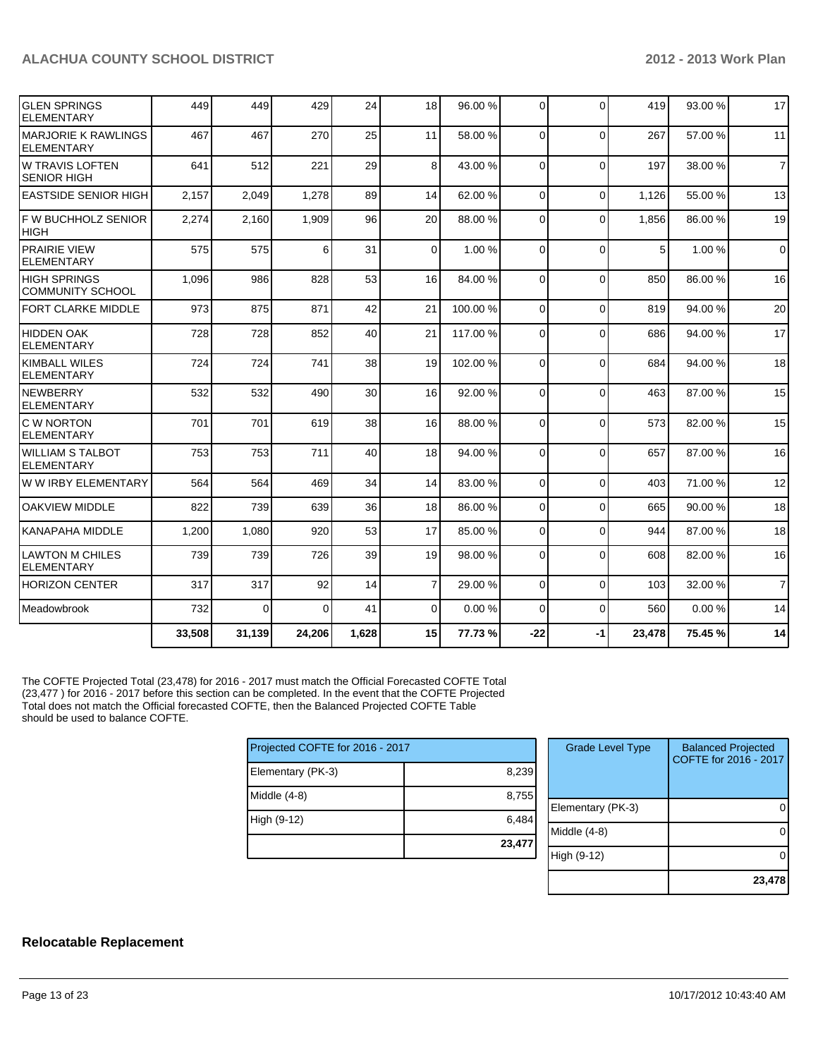| IGLEN SPRINGS<br><b>ELEMENTARY</b>               | 449    | 449      | 429      | 24    | 18              | 96.00 %  | $\Omega$ | $\Omega$ | 419    | 93.00 % | 17             |
|--------------------------------------------------|--------|----------|----------|-------|-----------------|----------|----------|----------|--------|---------|----------------|
| <b>IMARJORIE K RAWLINGS</b><br><b>ELEMENTARY</b> | 467    | 467      | 270      | 25    | 11              | 58.00 %  | $\Omega$ | $\Omega$ | 267    | 57.00 % | 11             |
| IW TRAVIS LOFTEN<br><b>SENIOR HIGH</b>           | 641    | 512      | 221      | 29    | 8 <sup>1</sup>  | 43.00 %  | $\Omega$ | $\Omega$ | 197    | 38.00 % | $\overline{7}$ |
| <b>EASTSIDE SENIOR HIGH</b>                      | 2,157  | 2,049    | 1,278    | 89    | 14              | 62.00 %  | $\Omega$ | $\Omega$ | 1,126  | 55.00 % | 13             |
| IF W BUCHHOLZ SENIOR<br>Ініgн                    | 2,274  | 2,160    | 1,909    | 96    | 20 <sup>1</sup> | 88.00 %  | $\Omega$ | $\Omega$ | 1,856  | 86.00 % | 19             |
| <b>PRAIRIE VIEW</b><br><b>ELEMENTARY</b>         | 575    | 575      | 6        | 31    | $\overline{0}$  | 1.00 %   | $\Omega$ | $\Omega$ | 5      | 1.00 %  | $\mathbf 0$    |
| <b>HIGH SPRINGS</b><br><b>COMMUNITY SCHOOL</b>   | 1,096  | 986      | 828      | 53    | 16              | 84.00 %  | $\Omega$ | $\Omega$ | 850    | 86.00 % | 16             |
| <b>FORT CLARKE MIDDLE</b>                        | 973    | 875      | 871      | 42    | 21              | 100.00%  | $\Omega$ | $\Omega$ | 819    | 94.00%  | 20             |
| <b>HIDDEN OAK</b><br><b>ELEMENTARY</b>           | 728    | 728      | 852      | 40    | 21              | 117.00 % | $\Omega$ | $\Omega$ | 686    | 94.00 % | 17             |
| KIMBALL WILES<br><b>ELEMENTARY</b>               | 724    | 724      | 741      | 38    | 19              | 102.00%  | 0        | $\Omega$ | 684    | 94.00 % | 18             |
| <b>INEWBERRY</b><br><b>ELEMENTARY</b>            | 532    | 532      | 490      | 30    | 16              | 92.00 %  | 0        | $\Omega$ | 463    | 87.00 % | 15             |
| IC W NORTON<br><b>ELEMENTARY</b>                 | 701    | 701      | 619      | 38    | 16              | 88.00 %  | 0        | $\Omega$ | 573    | 82.00 % | 15             |
| IWILLIAM S TALBOT<br><b>ELEMENTARY</b>           | 753    | 753      | 711      | 40    | 18              | 94.00 %  | 0        | $\Omega$ | 657    | 87.00 % | 16             |
| lw w irby ELEMENTARY                             | 564    | 564      | 469      | 34    | 14              | 83.00 %  | $\Omega$ | $\Omega$ | 403    | 71.00 % | 12             |
| loakview middle                                  | 822    | 739      | 639      | 36    | 18              | 86.00 %  | $\Omega$ | $\Omega$ | 665    | 90.00 % | 18             |
| <b>KANAPAHA MIDDLE</b>                           | 1,200  | 1,080    | 920      | 53    | 17              | 85.00 %  | $\Omega$ | $\Omega$ | 944    | 87.00 % | 18             |
| ILAWTON M CHILES<br><b>ELEMENTARY</b>            | 739    | 739      | 726      | 39    | 19              | 98.00 %  | 0        | $\Omega$ | 608    | 82.00 % | 16             |
| <b>HORIZON CENTER</b>                            | 317    | 317      | 92       | 14    | $\overline{7}$  | 29.00 %  | $\Omega$ | $\Omega$ | 103    | 32.00 % | $\overline{7}$ |
| <b>I</b> Meadowbrook                             | 732    | $\Omega$ | $\Omega$ | 41    | $\Omega$        | 0.00%    | $\Omega$ | $\Omega$ | 560    | 0.00%   | 14             |
|                                                  | 33,508 | 31,139   | 24,206   | 1.628 | 15              | 77.73 %  | $-22$    | -1       | 23,478 | 75.45 % | 14             |

The COFTE Projected Total (23,478) for 2016 - 2017 must match the Official Forecasted COFTE Total (23,477 ) for 2016 - 2017 before this section can be completed. In the event that the COFTE Projected Total does not match the Official forecasted COFTE, then the Balanced Projected COFTE Table should be used to balance COFTE.

| Projected COFTE for 2016 - 2017 |        |  |  |  |  |  |
|---------------------------------|--------|--|--|--|--|--|
| Elementary (PK-3)               | 8,239  |  |  |  |  |  |
| Middle $(4-8)$                  | 8,755  |  |  |  |  |  |
| High (9-12)                     | 6,484  |  |  |  |  |  |
|                                 | 23,477 |  |  |  |  |  |

| <b>Grade Level Type</b> | <b>Balanced Projected</b><br>COFTE for 2016 - 2017 |
|-------------------------|----------------------------------------------------|
| Elementary (PK-3)       |                                                    |
| Middle (4-8)            |                                                    |
| High (9-12)             |                                                    |
|                         | 23,478                                             |

#### **Relocatable Replacement**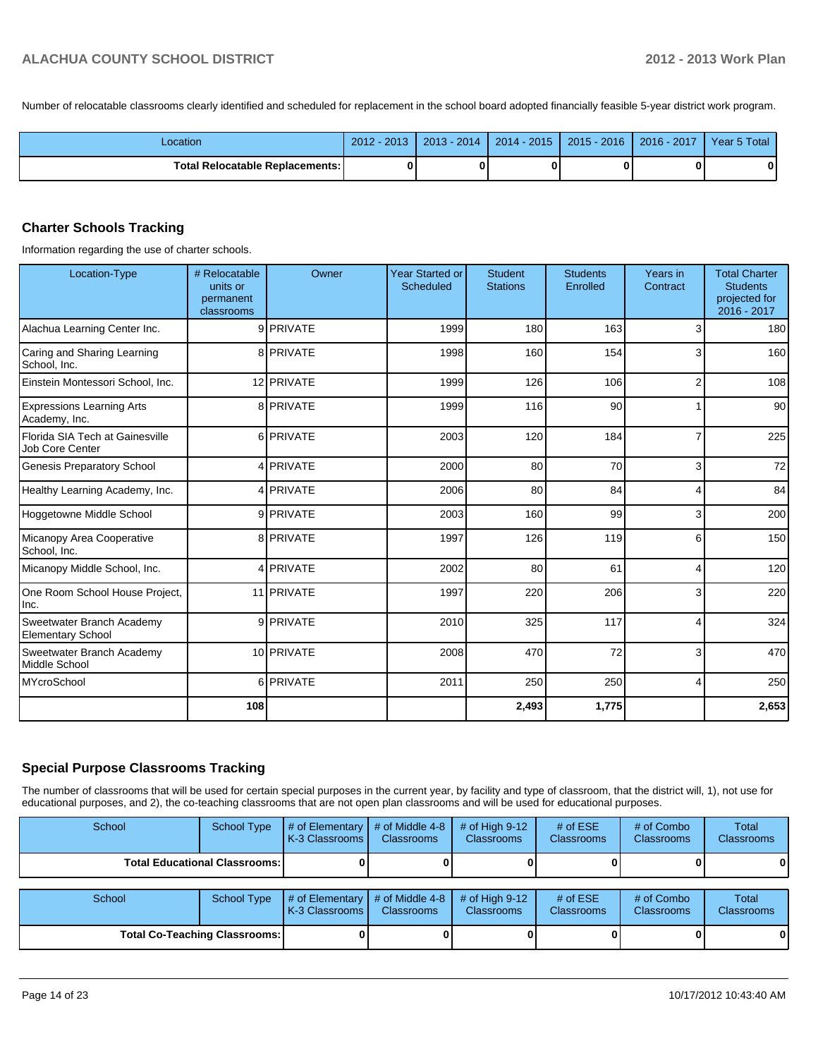Number of relocatable classrooms clearly identified and scheduled for replacement in the school board adopted financially feasible 5-year district work program.

| Location                          | $2012 - 2013$ | $2013 - 2014$ | $2014 - 2015$ | $2015 - 2016$ | │ 2016 - 2017 │ | Year 5 Total |
|-----------------------------------|---------------|---------------|---------------|---------------|-----------------|--------------|
| Total Relocatable Replacements: I |               |               |               |               |                 |              |

#### **Charter Schools Tracking**

Information regarding the use of charter schools.

| Location-Type                                         | # Relocatable<br>units or<br>permanent<br>classrooms | Owner      | <b>Year Started or</b><br>Scheduled | <b>Student</b><br><b>Stations</b> | <b>Students</b><br>Enrolled | Years in<br>Contract | <b>Total Charter</b><br><b>Students</b><br>projected for<br>2016 - 2017 |
|-------------------------------------------------------|------------------------------------------------------|------------|-------------------------------------|-----------------------------------|-----------------------------|----------------------|-------------------------------------------------------------------------|
| Alachua Learning Center Inc.                          |                                                      | 9 PRIVATE  | 1999                                | 180                               | 163                         | 3                    | 180                                                                     |
| Caring and Sharing Learning<br>School, Inc.           |                                                      | 8 PRIVATE  | 1998                                | 160                               | 154                         | 3                    | 160                                                                     |
| Einstein Montessori School, Inc.                      |                                                      | 12 PRIVATE | 1999                                | 126                               | 106                         | $\overline{2}$       | 108                                                                     |
| <b>Expressions Learning Arts</b><br>Academy, Inc.     |                                                      | 8 PRIVATE  | 1999                                | 116                               | 90                          |                      | 90 <sub>1</sub>                                                         |
| Florida SIA Tech at Gainesville<br>Job Core Center    |                                                      | 6 PRIVATE  | 2003                                | 120                               | 184                         |                      | 225                                                                     |
| <b>Genesis Preparatory School</b>                     |                                                      | 4 PRIVATE  | 2000                                | 80                                | 70                          | 3                    | 72                                                                      |
| Healthy Learning Academy, Inc.                        |                                                      | 4 PRIVATE  | 2006                                | 80                                | 84                          | 4                    | 84                                                                      |
| Hoggetowne Middle School                              |                                                      | 9 PRIVATE  | 2003                                | 160                               | 99                          | 3                    | 200                                                                     |
| Micanopy Area Cooperative<br>School, Inc.             |                                                      | 8 PRIVATE  | 1997                                | 126                               | 119                         | 6                    | 150                                                                     |
| Micanopy Middle School, Inc.                          |                                                      | 4 PRIVATE  | 2002                                | 80                                | 61                          | 4                    | 120                                                                     |
| One Room School House Project,<br>Inc.                |                                                      | 11 PRIVATE | 1997                                | 220                               | 206                         | 3                    | 220                                                                     |
| Sweetwater Branch Academy<br><b>Elementary School</b> |                                                      | 9 PRIVATE  | 2010                                | 325                               | 117                         | 4                    | 324                                                                     |
| Sweetwater Branch Academy<br>Middle School            |                                                      | 10 PRIVATE | 2008                                | 470                               | 72                          | 3                    | 470                                                                     |
| MYcroSchool                                           |                                                      | 6 PRIVATE  | 2011                                | 250                               | 250                         | $\overline{4}$       | 250                                                                     |
|                                                       | 108                                                  |            |                                     | 2,493                             | 1,775                       |                      | 2,653                                                                   |

#### **Special Purpose Classrooms Tracking**

The number of classrooms that will be used for certain special purposes in the current year, by facility and type of classroom, that the district will, 1), not use for educational purposes, and 2), the co-teaching classrooms that are not open plan classrooms and will be used for educational purposes.

| School                               | <b>School Type</b> | # of Elementary<br>K-3 Classrooms | # of Middle 4-8<br><b>Classrooms</b> | # of High $9-12$<br><b>Classrooms</b> | # of $ESE$<br><b>Classrooms</b> | # of Combo<br><b>Classrooms</b> | Total<br><b>Classrooms</b> |
|--------------------------------------|--------------------|-----------------------------------|--------------------------------------|---------------------------------------|---------------------------------|---------------------------------|----------------------------|
| <b>Total Educational Classrooms:</b> |                    |                                   |                                      |                                       |                                 |                                 | 01                         |
|                                      |                    |                                   |                                      |                                       |                                 |                                 |                            |
| School                               | <b>School Type</b> | # of Elementary<br>K-3 Classrooms | # of Middle 4-8<br><b>Classrooms</b> | # of High $9-12$<br><b>Classrooms</b> | # of $ESE$<br><b>Classrooms</b> | # of Combo<br><b>Classrooms</b> | Total<br><b>Classrooms</b> |
| <b>Total Co-Teaching Classrooms:</b> |                    |                                   |                                      |                                       |                                 |                                 | 01                         |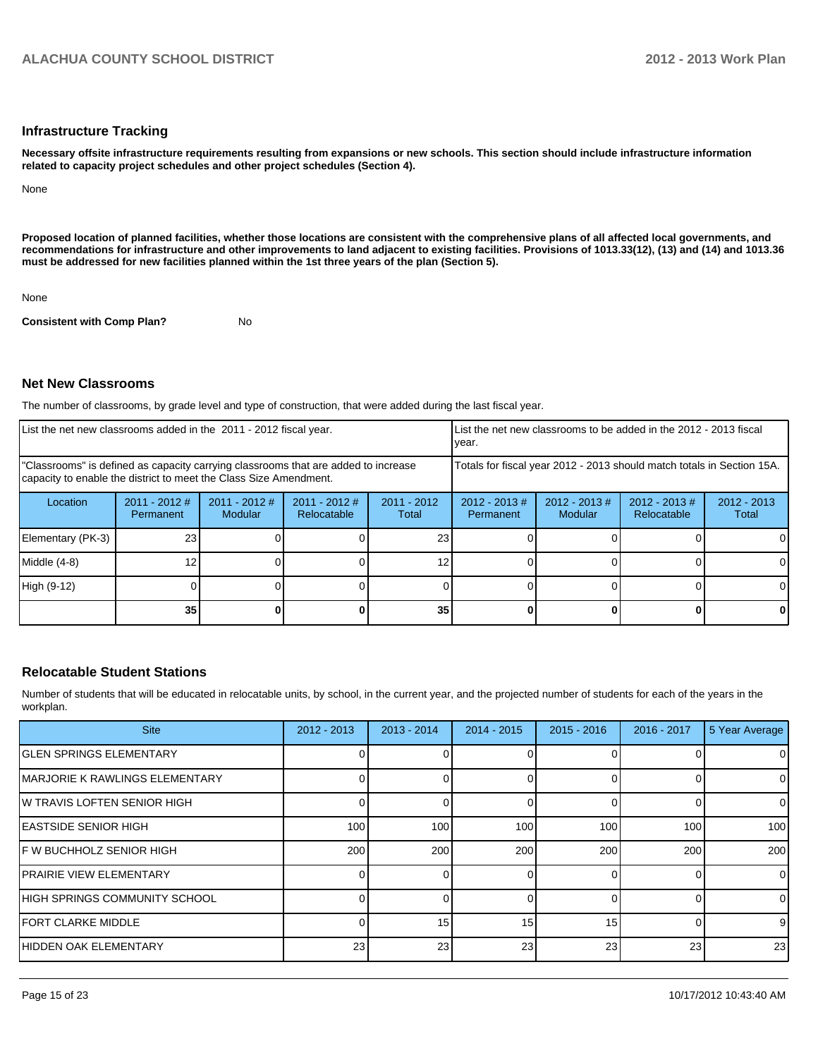#### **Infrastructure Tracking**

**Necessary offsite infrastructure requirements resulting from expansions or new schools. This section should include infrastructure information related to capacity project schedules and other project schedules (Section 4).**

None

**Proposed location of planned facilities, whether those locations are consistent with the comprehensive plans of all affected local governments, and recommendations for infrastructure and other improvements to land adjacent to existing facilities. Provisions of 1013.33(12), (13) and (14) and 1013.36 must be addressed for new facilities planned within the 1st three years of the plan (Section 5).**

None

**Consistent with Comp Plan?** No

#### **Net New Classrooms**

The number of classrooms, by grade level and type of construction, that were added during the last fiscal year.

| List the net new classrooms added in the 2011 - 2012 fiscal year.                                                                                       |                              |                                   |                                |                        | Ivear.                                                                                          |  |                                                                        | List the net new classrooms to be added in the 2012 - 2013 fiscal |  |  |
|---------------------------------------------------------------------------------------------------------------------------------------------------------|------------------------------|-----------------------------------|--------------------------------|------------------------|-------------------------------------------------------------------------------------------------|--|------------------------------------------------------------------------|-------------------------------------------------------------------|--|--|
| "Classrooms" is defined as capacity carrying classrooms that are added to increase<br>capacity to enable the district to meet the Class Size Amendment. |                              |                                   |                                |                        |                                                                                                 |  | Totals for fiscal year 2012 - 2013 should match totals in Section 15A. |                                                                   |  |  |
| Location                                                                                                                                                | $2011 - 2012$ #<br>Permanent | $2011 - 2012$ #<br><b>Modular</b> | $2011 - 2012$ #<br>Relocatable | $2011 - 2012$<br>Total | $2012 - 2013 \#$<br>$2012 - 2013 \#$<br>$2012 - 2013 \#$<br>Modular<br>Relocatable<br>Permanent |  |                                                                        | $2012 - 2013$<br>Total                                            |  |  |
| Elementary (PK-3)                                                                                                                                       | 23                           |                                   |                                | 23                     |                                                                                                 |  |                                                                        |                                                                   |  |  |
| Middle (4-8)                                                                                                                                            | 12                           |                                   |                                |                        |                                                                                                 |  |                                                                        |                                                                   |  |  |
| High (9-12)                                                                                                                                             |                              |                                   |                                |                        |                                                                                                 |  |                                                                        |                                                                   |  |  |
|                                                                                                                                                         | 35                           |                                   |                                | 35                     |                                                                                                 |  |                                                                        |                                                                   |  |  |

#### **Relocatable Student Stations**

Number of students that will be educated in relocatable units, by school, in the current year, and the projected number of students for each of the years in the workplan.

| <b>Site</b>                            | $2012 - 2013$ | $2013 - 2014$    | $2014 - 2015$ | $2015 - 2016$ | 2016 - 2017 | 5 Year Average |
|----------------------------------------|---------------|------------------|---------------|---------------|-------------|----------------|
| <b>IGLEN SPRINGS ELEMENTARY</b>        |               |                  |               |               |             | 0              |
| <b>IMARJORIE K RAWLINGS ELEMENTARY</b> |               |                  |               |               |             | $\mathbf 0$    |
| IW TRAVIS LOFTEN SENIOR HIGH           |               |                  |               |               |             | 0              |
| <b>IEASTSIDE SENIOR HIGH</b>           | 100           | 100 <sup>1</sup> | 100           | 100           | 100         | 100            |
| IF W BUCHHOLZ SENIOR HIGH              | 200           | 200              | 200           | 200           | 200         | 200            |
| <b>IPRAIRIE VIEW ELEMENTARY</b>        |               | $\Omega$         |               |               | $\Omega$    | $\mathbf 0$    |
| HIGH SPRINGS COMMUNITY SCHOOL          |               |                  |               |               |             | $\mathbf 0$    |
| <b>IFORT CLARKE MIDDLE</b>             |               | 15               | 15            | 15            |             | 9              |
| IHIDDEN OAK ELEMENTARY                 | 23            | 23               | 23            | 23            | 23          | 23             |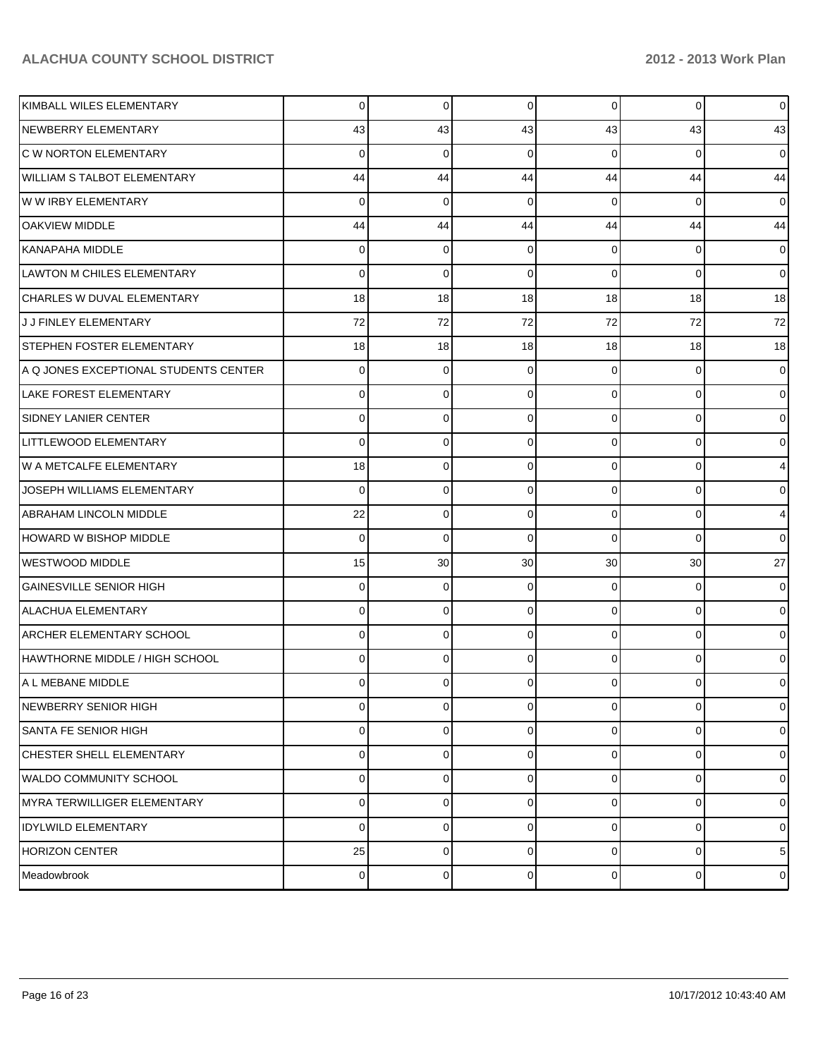| KIMBALL WILES ELEMENTARY              | $\Omega$       | $\mathbf 0$    | 0              | $\overline{0}$  | $\overline{0}$ | $\overline{0}$  |
|---------------------------------------|----------------|----------------|----------------|-----------------|----------------|-----------------|
| NEWBERRY ELEMENTARY                   | 43             | 43             | 43             | 43              | 43             | 43              |
| <b>C W NORTON ELEMENTARY</b>          | 0              | $\Omega$       | 0              | $\Omega$        | $\Omega$       | $\overline{0}$  |
| <b>WILLIAM S TALBOT ELEMENTARY</b>    | 44             | 44             | 44             | 44              | 44             | 44              |
| W W IRBY ELEMENTARY                   | 0              | $\Omega$       | 0              | $\Omega$        | $\Omega$       | $\overline{0}$  |
| <b>OAKVIEW MIDDLE</b>                 | 44             | 44             | 44             | 44              | 44             | 44              |
| KANAPAHA MIDDLE                       | 0              | $\Omega$       | $\Omega$       | $\Omega$        | $\Omega$       | $\overline{0}$  |
| LAWTON M CHILES ELEMENTARY            | 0              | $\Omega$       | 0              | $\Omega$        | $\Omega$       | $\overline{0}$  |
| CHARLES W DUVAL ELEMENTARY            | 18             | 18             | 18             | 18              | 18             | 18              |
| J J FINLEY ELEMENTARY                 | 72             | 72             | 72             | 72              | 72             | 72              |
| <b>STEPHEN FOSTER ELEMENTARY</b>      | 18             | 18             | 18             | 18              | 18             | 18              |
| A Q JONES EXCEPTIONAL STUDENTS CENTER | 0              | $\Omega$       | 0              | $\Omega$        | $\Omega$       | $\overline{0}$  |
| LAKE FOREST ELEMENTARY                | 0              | $\Omega$       | $\Omega$       | $\Omega$        | $\Omega$       | $\overline{0}$  |
| <b>SIDNEY LANIER CENTER</b>           | 0              | $\Omega$       | $\Omega$       | $\Omega$        | $\Omega$       | $\overline{0}$  |
| LITTLEWOOD ELEMENTARY                 | 0              | 0              | $\Omega$       | $\Omega$        | $\Omega$       | $\overline{0}$  |
| W A METCALFE ELEMENTARY               | 18             | $\Omega$       | $\Omega$       | $\Omega$        | $\Omega$       | $\overline{4}$  |
| JOSEPH WILLIAMS ELEMENTARY            | 0              | $\Omega$       | $\Omega$       | $\Omega$        | $\Omega$       | $\overline{0}$  |
| <b>ABRAHAM LINCOLN MIDDLE</b>         | 22             | $\mathbf 0$    | $\Omega$       | $\Omega$        | $\Omega$       | $\overline{4}$  |
| HOWARD W BISHOP MIDDLE                | 0              | $\Omega$       | $\Omega$       | $\Omega$        | $\Omega$       | $\Omega$        |
| WESTWOOD MIDDLE                       | 15             | 30             | 30             | 30 <sup>°</sup> | 30             | 27              |
| <b>GAINESVILLE SENIOR HIGH</b>        | 0              | $\Omega$       | 0              | $\Omega$        | $\Omega$       | $\overline{0}$  |
| <b>ALACHUA ELEMENTARY</b>             | 0              | $\Omega$       | $\Omega$       | $\Omega$        | $\Omega$       | $\overline{0}$  |
| <b>ARCHER ELEMENTARY SCHOOL</b>       | 0              | $\Omega$       | $\Omega$       | $\Omega$        | $\Omega$       | $\overline{0}$  |
| HAWTHORNE MIDDLE / HIGH SCHOOL        | 0              | $\Omega$       | 0              | $\Omega$        | $\Omega$       | $\overline{0}$  |
| A L MEBANE MIDDLE                     | 0              | 0              |                | $\Omega$        | $\Omega$       | $\overline{0}$  |
| NEWBERRY SENIOR HIGH                  | $\overline{0}$ | $\overline{0}$ | $\overline{0}$ | $\overline{0}$  | $\mathbf 0$    | $\overline{0}$  |
| <b>SANTA FE SENIOR HIGH</b>           | 0              | 0              | $\Omega$       | $\Omega$        | $\mathbf 0$    | $\overline{0}$  |
| CHESTER SHELL ELEMENTARY              | $\Omega$       | $\mathbf 0$    | $\Omega$       | $\Omega$        | $\mathbf 0$    | $\overline{0}$  |
| WALDO COMMUNITY SCHOOL                | $\Omega$       | $\mathbf 0$    | $\Omega$       | $\Omega$        | $\mathbf 0$    | $\overline{0}$  |
| MYRA TERWILLIGER ELEMENTARY           | 0              | 0              | $\Omega$       | $\Omega$        | 0              | $\overline{0}$  |
| <b>IDYLWILD ELEMENTARY</b>            | $\Omega$       | $\mathbf 0$    | $\Omega$       | $\Omega$        | $\mathbf 0$    | $\overline{0}$  |
| HORIZON CENTER                        | 25             | 0              | $\Omega$       | $\Omega$        | $\mathbf 0$    | $5\overline{)}$ |
| Meadowbrook                           | $\overline{0}$ | $\mathbf 0$    | 0              | $\overline{0}$  | $\mathbf 0$    | $\overline{0}$  |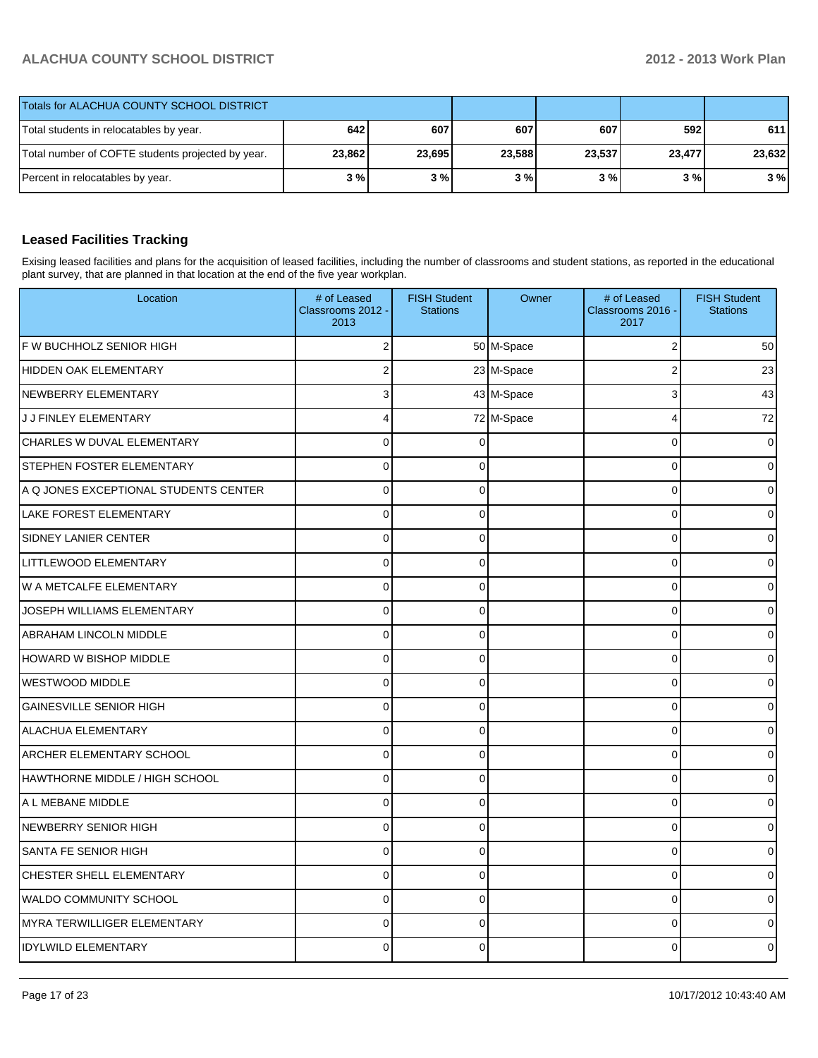| Totals for ALACHUA COUNTY SCHOOL DISTRICT         |        |        |        |        |        |        |
|---------------------------------------------------|--------|--------|--------|--------|--------|--------|
| Total students in relocatables by year.           | 642    | 607    | 607    | 607    | 592    | 611    |
| Total number of COFTE students projected by year. | 23,862 | 23,695 | 23,588 | 23,537 | 23,477 | 23.632 |
| Percent in relocatables by year.                  | 3%     | 3%     | 3%     | 3 % I  | 3 % I  | 3%     |

## **Leased Facilities Tracking**

Exising leased facilities and plans for the acquisition of leased facilities, including the number of classrooms and student stations, as reported in the educational plant survey, that are planned in that location at the end of the five year workplan.

| Location                              | # of Leased<br>Classrooms 2012 -<br>2013 | <b>FISH Student</b><br><b>Stations</b> | Owner      | # of Leased<br>Classrooms 2016 -<br>2017 | <b>FISH Student</b><br><b>Stations</b> |
|---------------------------------------|------------------------------------------|----------------------------------------|------------|------------------------------------------|----------------------------------------|
| F W BUCHHOLZ SENIOR HIGH              | 2                                        |                                        | 50 M-Space | 2                                        | 50                                     |
| <b>HIDDEN OAK ELEMENTARY</b>          | 2                                        |                                        | 23 M-Space | $\overline{2}$                           | 23                                     |
| NEWBERRY ELEMENTARY                   | 3                                        |                                        | 43 M-Space | 3                                        | 43                                     |
| J J FINLEY ELEMENTARY                 | 4                                        |                                        | 72 M-Space | 4                                        | 72                                     |
| CHARLES W DUVAL ELEMENTARY            | $\overline{0}$                           | 0                                      |            | $\Omega$                                 |                                        |
| <b>STEPHEN FOSTER ELEMENTARY</b>      | $\Omega$                                 | 0                                      |            | $\mathbf 0$                              |                                        |
| A Q JONES EXCEPTIONAL STUDENTS CENTER | 0                                        | 0                                      |            | $\mathbf 0$                              |                                        |
| <b>LAKE FOREST ELEMENTARY</b>         | $\overline{0}$                           | 0                                      |            | $\Omega$                                 |                                        |
| <b>SIDNEY LANIER CENTER</b>           | $\Omega$                                 | 0                                      |            | $\mathbf 0$                              |                                        |
| LITTLEWOOD ELEMENTARY                 | 0                                        | 0                                      |            | $\mathbf 0$                              |                                        |
| W A METCALFE ELEMENTARY               | $\overline{0}$                           | 0                                      |            | $\Omega$                                 |                                        |
| JOSEPH WILLIAMS ELEMENTARY            | $\Omega$                                 | 0                                      |            | $\mathbf 0$                              |                                        |
| <b>ABRAHAM LINCOLN MIDDLE</b>         | 0                                        | 0                                      |            | $\mathbf 0$                              |                                        |
| HOWARD W BISHOP MIDDLE                | $\overline{0}$                           | 0                                      |            | $\Omega$                                 |                                        |
| WESTWOOD MIDDLE                       | $\Omega$                                 | 0                                      |            | $\mathbf 0$                              |                                        |
| <b>GAINESVILLE SENIOR HIGH</b>        | 0                                        | 0                                      |            | $\mathbf 0$                              |                                        |
| <b>ALACHUA ELEMENTARY</b>             | $\overline{0}$                           | 0                                      |            | $\Omega$                                 |                                        |
| ARCHER ELEMENTARY SCHOOL              | $\Omega$                                 | 0                                      |            | $\mathbf 0$                              |                                        |
| HAWTHORNE MIDDLE / HIGH SCHOOL        | 0                                        | 0                                      |            | $\mathbf 0$                              |                                        |
| A L MEBANE MIDDLE                     | $\overline{0}$                           | 0                                      |            | $\Omega$                                 |                                        |
| NEWBERRY SENIOR HIGH                  | $\Omega$                                 | 0                                      |            | $\mathbf 0$                              |                                        |
| SANTA FE SENIOR HIGH                  | 0                                        | 0                                      |            | $\mathbf 0$                              |                                        |
| CHESTER SHELL ELEMENTARY              | $\overline{0}$                           | 0                                      |            | $\Omega$                                 |                                        |
| WALDO COMMUNITY SCHOOL                | 0                                        | $\overline{0}$                         |            | $\mathbf 0$                              |                                        |
| <b>MYRA TERWILLIGER ELEMENTARY</b>    | 0                                        | 0                                      |            | $\mathbf 0$                              |                                        |
| <b>IDYLWILD ELEMENTARY</b>            | $\Omega$                                 | 0                                      |            | $\Omega$                                 |                                        |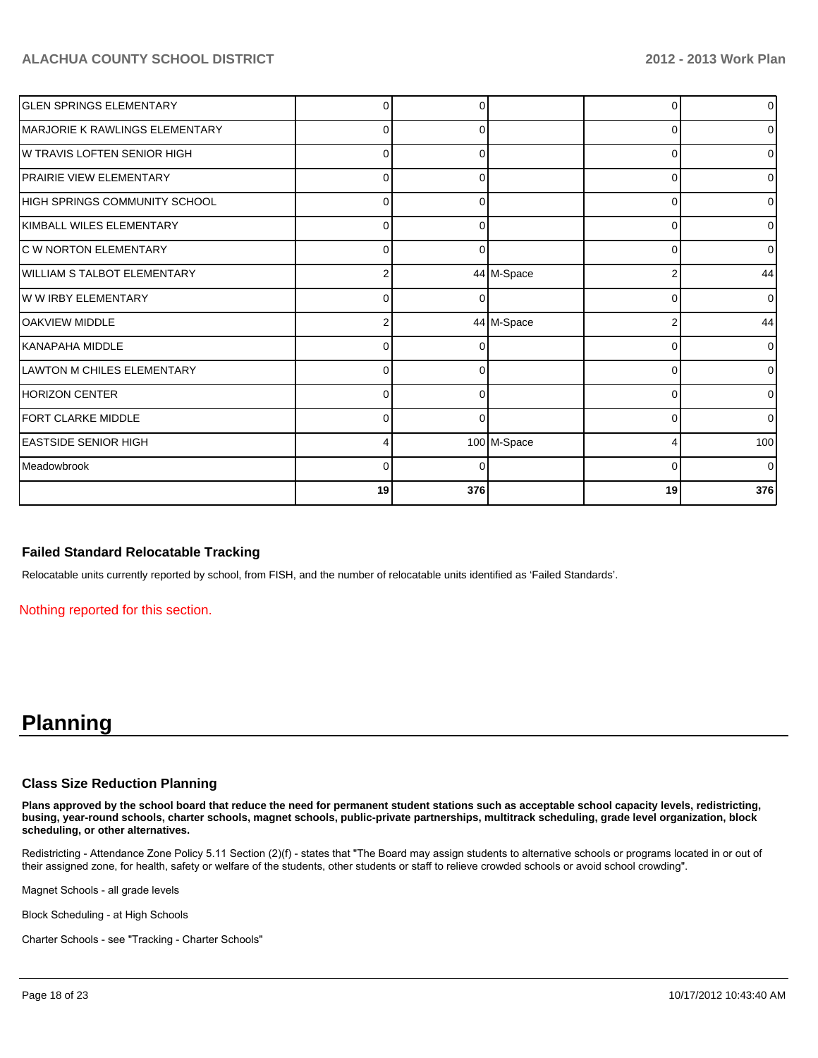| <b>GLEN SPRINGS ELEMENTARY</b>    |          |          |             | n        | $\overline{0}$ |
|-----------------------------------|----------|----------|-------------|----------|----------------|
| IMARJORIE K RAWLINGS ELEMENTARY   | $\Omega$ | 0        |             | 0        | $\overline{0}$ |
| IW TRAVIS LOFTEN SENIOR HIGH      | $\Omega$ | 0        |             | $\Omega$ | $\overline{0}$ |
| <b>PRAIRIE VIEW ELEMENTARY</b>    | $\Omega$ |          |             | $\Omega$ | $\overline{0}$ |
| HIGH SPRINGS COMMUNITY SCHOOL     | U        |          |             | $\Omega$ | $\overline{0}$ |
| <b>IKIMBALL WILES ELEMENTARY</b>  | $\Omega$ | 0        |             | 0        | $\overline{0}$ |
| <b>C W NORTON ELEMENTARY</b>      | $\Omega$ | 0        |             | 0        | $\overline{0}$ |
| WILLIAM S TALBOT ELEMENTARY       | 2        |          | 44 M-Space  | 2        | 44             |
| W W IRBY ELEMENTARY               | U        | O        |             | $\Omega$ | $\overline{0}$ |
| <b>IOAKVIEW MIDDLE</b>            |          |          | 44 M-Space  | 2        | 44             |
| İKANAPAHA MIDDLE                  | $\Omega$ | 0        |             | U        | $\overline{0}$ |
| <b>LAWTON M CHILES ELEMENTARY</b> | $\Omega$ | 0        |             | $\Omega$ | $\overline{0}$ |
| HORIZON CENTER                    | $\Omega$ | 0        |             | $\Omega$ | $\overline{0}$ |
| <b>FORT CLARKE MIDDLE</b>         | O        | $\Omega$ |             | $\Omega$ | $\overline{0}$ |
| IEASTSIDE SENIOR HIGH             |          |          | 100 M-Space |          | 100            |
| <b>I</b> Meadowbrook              | $\Omega$ | O        |             | 0        | $\overline{0}$ |
|                                   | 19       | 376      |             | 19       | 376            |

#### **Failed Standard Relocatable Tracking**

Relocatable units currently reported by school, from FISH, and the number of relocatable units identified as 'Failed Standards'.

Nothing reported for this section.

## **Planning**

#### **Class Size Reduction Planning**

**Plans approved by the school board that reduce the need for permanent student stations such as acceptable school capacity levels, redistricting, busing, year-round schools, charter schools, magnet schools, public-private partnerships, multitrack scheduling, grade level organization, block scheduling, or other alternatives.**

Redistricting - Attendance Zone Policy 5.11 Section (2)(f) - states that "The Board may assign students to alternative schools or programs located in or out of their assigned zone, for health, safety or welfare of the students, other students or staff to relieve crowded schools or avoid school crowding".

Magnet Schools - all grade levels

Block Scheduling - at High Schools

Charter Schools - see "Tracking - Charter Schools"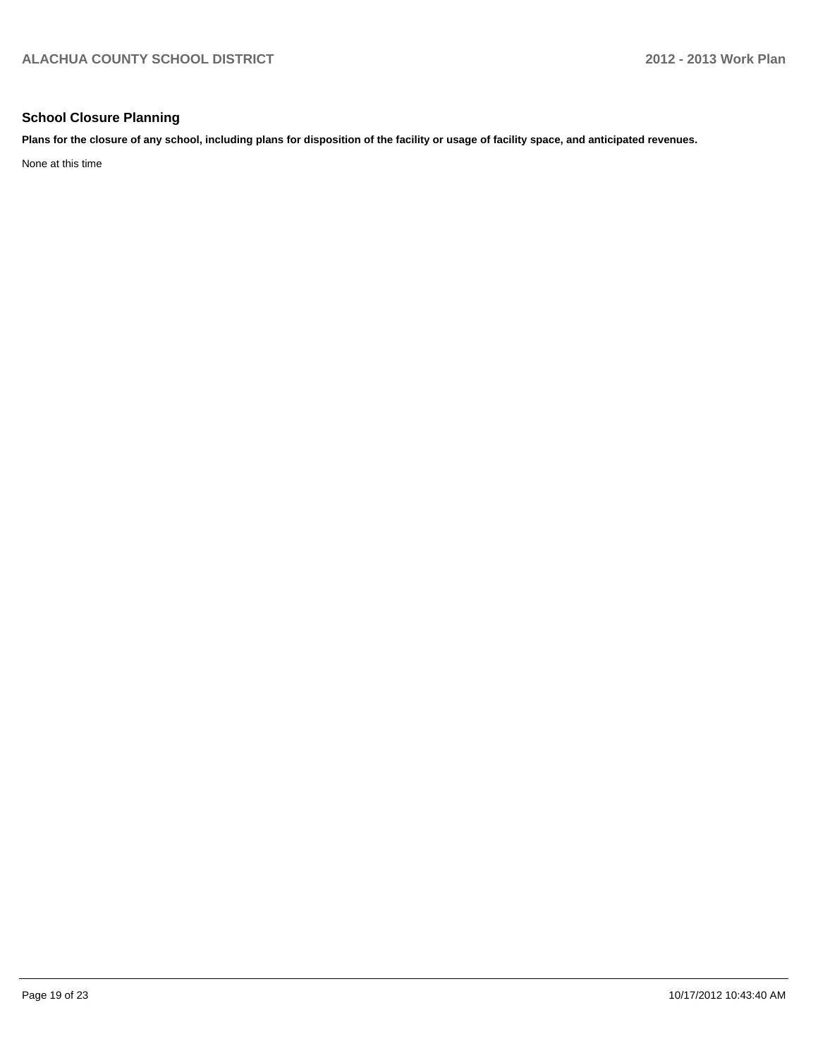### **School Closure Planning**

**Plans for the closure of any school, including plans for disposition of the facility or usage of facility space, and anticipated revenues.**

None at this time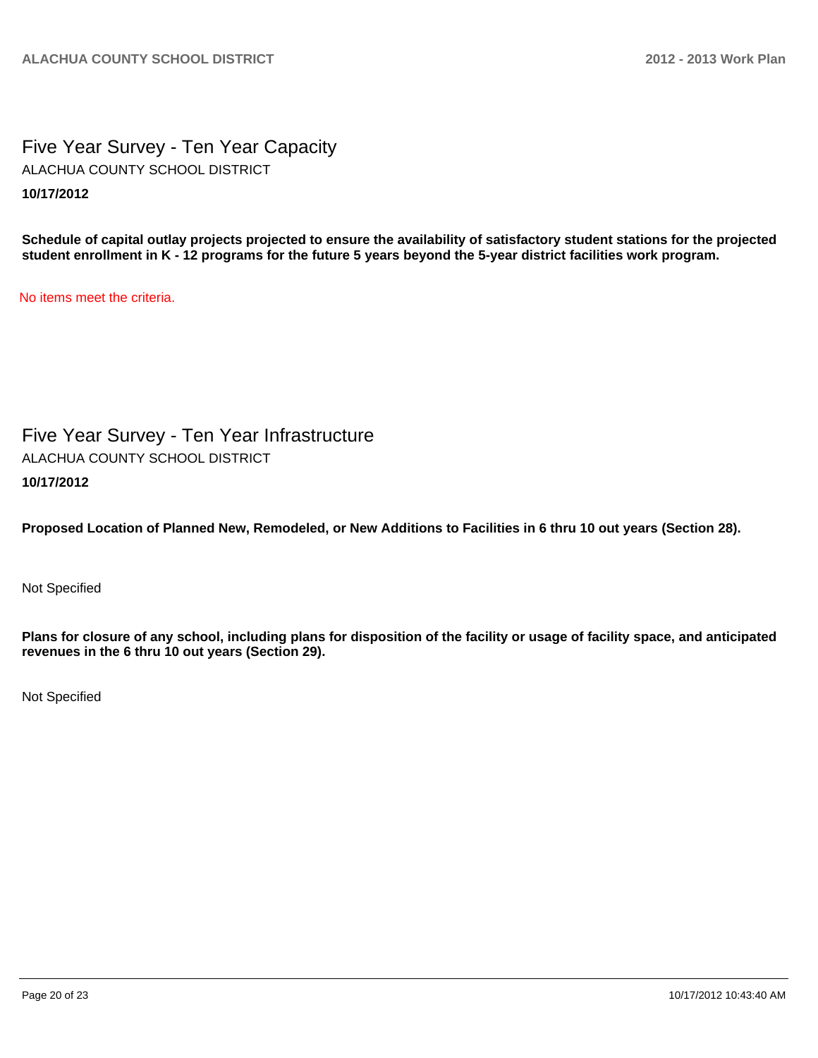Five Year Survey - Ten Year Capacity **10/17/2012** ALACHUA COUNTY SCHOOL DISTRICT

**Schedule of capital outlay projects projected to ensure the availability of satisfactory student stations for the projected student enrollment in K - 12 programs for the future 5 years beyond the 5-year district facilities work program.**

No items meet the criteria.

Five Year Survey - Ten Year Infrastructure **10/17/2012** ALACHUA COUNTY SCHOOL DISTRICT

**Proposed Location of Planned New, Remodeled, or New Additions to Facilities in 6 thru 10 out years (Section 28).**

Not Specified

**Plans for closure of any school, including plans for disposition of the facility or usage of facility space, and anticipated revenues in the 6 thru 10 out years (Section 29).**

Not Specified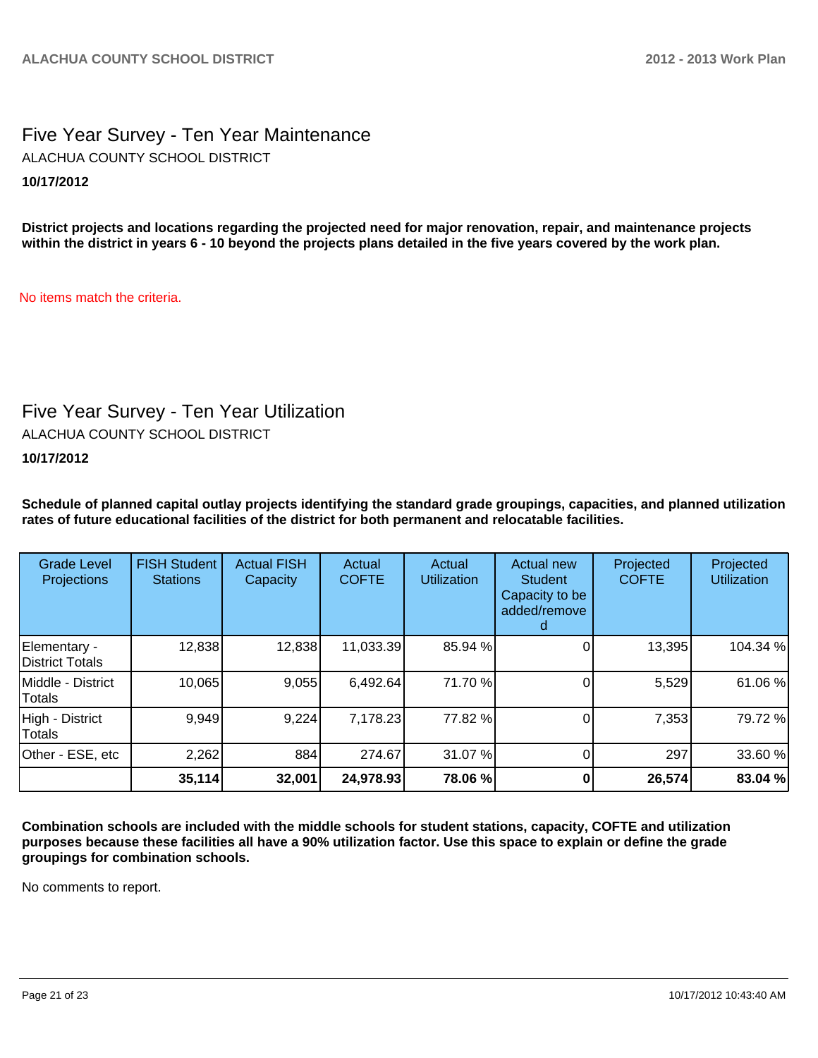## Five Year Survey - Ten Year Maintenance **10/17/2012** ALACHUA COUNTY SCHOOL DISTRICT

**District projects and locations regarding the projected need for major renovation, repair, and maintenance projects within the district in years 6 - 10 beyond the projects plans detailed in the five years covered by the work plan.**

No items match the criteria.

## Five Year Survey - Ten Year Utilization

ALACHUA COUNTY SCHOOL DISTRICT

**10/17/2012**

**Schedule of planned capital outlay projects identifying the standard grade groupings, capacities, and planned utilization rates of future educational facilities of the district for both permanent and relocatable facilities.**

| <b>Grade Level</b><br>Projections | <b>FISH Student</b><br><b>Stations</b> | <b>Actual FISH</b><br>Capacity | Actual<br><b>COFTE</b> | Actual<br><b>Utilization</b> | Actual new<br><b>Student</b><br>Capacity to be<br>added/remove | Projected<br><b>COFTE</b> | Projected<br><b>Utilization</b> |
|-----------------------------------|----------------------------------------|--------------------------------|------------------------|------------------------------|----------------------------------------------------------------|---------------------------|---------------------------------|
| Elementary -<br>District Totals   | 12,838                                 | 12,838                         | 11,033.39              | 85.94 %                      |                                                                | 13,395                    | 104.34 %                        |
| Middle - District<br>Totals       | 10,065                                 | 9,055                          | 6,492.64               | 71.70 %                      |                                                                | 5,529                     | 61.06%                          |
| High - District<br>Totals         | 9,949                                  | 9,224                          | 7,178.23               | 77.82 %                      |                                                                | 7,353                     | 79.72%                          |
| Other - ESE, etc                  | 2,262                                  | 884                            | 274.67                 | 31.07 %                      |                                                                | 297                       | 33.60 %                         |
|                                   | 35,114                                 | 32,001                         | 24,978.93              | 78.06 %                      |                                                                | 26,574                    | 83.04 %                         |

**Combination schools are included with the middle schools for student stations, capacity, COFTE and utilization purposes because these facilities all have a 90% utilization factor. Use this space to explain or define the grade groupings for combination schools.**

No comments to report.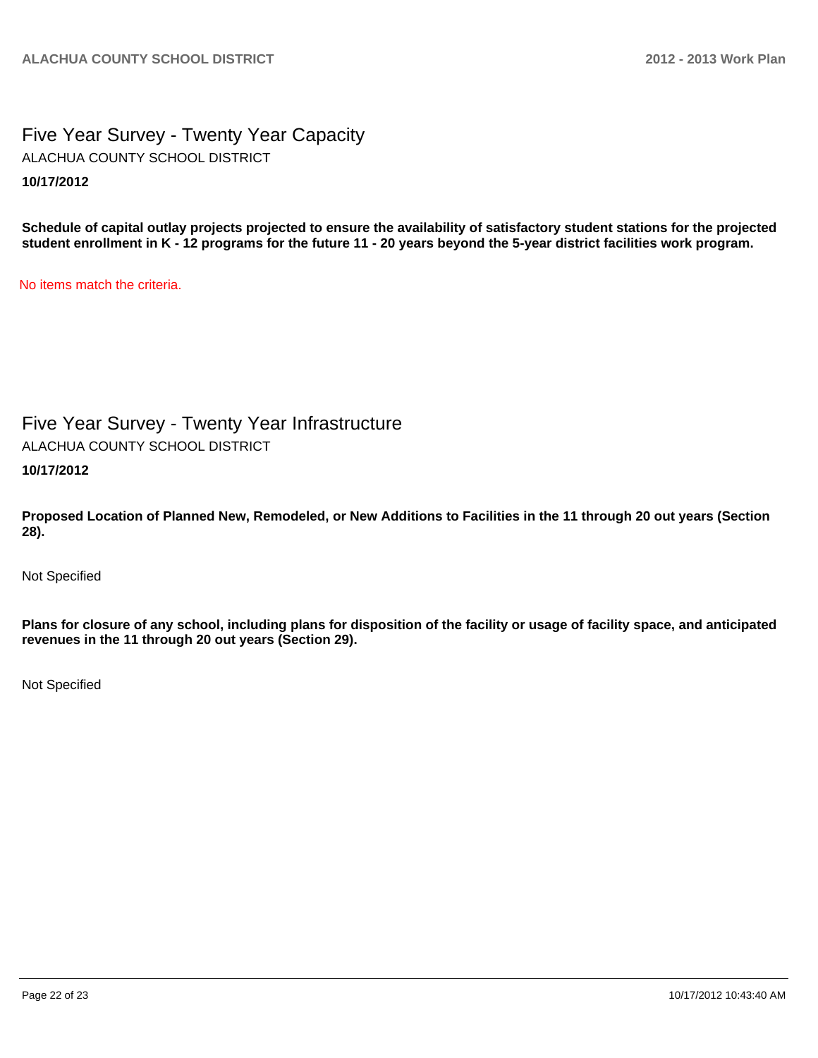## Five Year Survey - Twenty Year Capacity **10/17/2012** ALACHUA COUNTY SCHOOL DISTRICT

**Schedule of capital outlay projects projected to ensure the availability of satisfactory student stations for the projected student enrollment in K - 12 programs for the future 11 - 20 years beyond the 5-year district facilities work program.**

No items match the criteria.

# Five Year Survey - Twenty Year Infrastructure

ALACHUA COUNTY SCHOOL DISTRICT

**10/17/2012**

**Proposed Location of Planned New, Remodeled, or New Additions to Facilities in the 11 through 20 out years (Section 28).**

Not Specified

**Plans for closure of any school, including plans for disposition of the facility or usage of facility space, and anticipated revenues in the 11 through 20 out years (Section 29).**

Not Specified